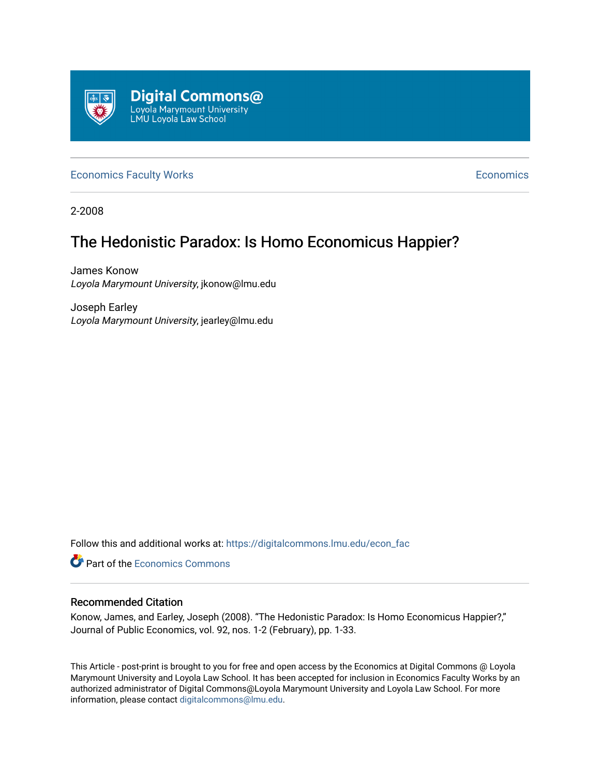

## **[Economics](https://digitalcommons.lmu.edu/econ) Faculty Works Economics** Faculty Works **Economics Economics**

2-2008

# The Hedonistic Paradox: Is Homo Economicus Happier?

James Konow Loyola Marymount University, jkonow@lmu.edu

Joseph Earley Loyola Marymount University, jearley@lmu.edu

Follow this and additional works at: [https://digitalcommons.lmu.edu/econ\\_fac](https://digitalcommons.lmu.edu/econ_fac?utm_source=digitalcommons.lmu.edu%2Fecon_fac%2F29&utm_medium=PDF&utm_campaign=PDFCoverPages)

**Part of the [Economics Commons](http://network.bepress.com/hgg/discipline/340?utm_source=digitalcommons.lmu.edu%2Fecon_fac%2F29&utm_medium=PDF&utm_campaign=PDFCoverPages)** 

#### Recommended Citation

Konow, James, and Earley, Joseph (2008). "The Hedonistic Paradox: Is Homo Economicus Happier?," Journal of Public Economics, vol. 92, nos. 1-2 (February), pp. 1-33.

This Article - post-print is brought to you for free and open access by the Economics at Digital Commons @ Loyola Marymount University and Loyola Law School. It has been accepted for inclusion in Economics Faculty Works by an authorized administrator of Digital Commons@Loyola Marymount University and Loyola Law School. For more information, please contact [digitalcommons@lmu.edu.](mailto:digitalcommons@lmu.edu)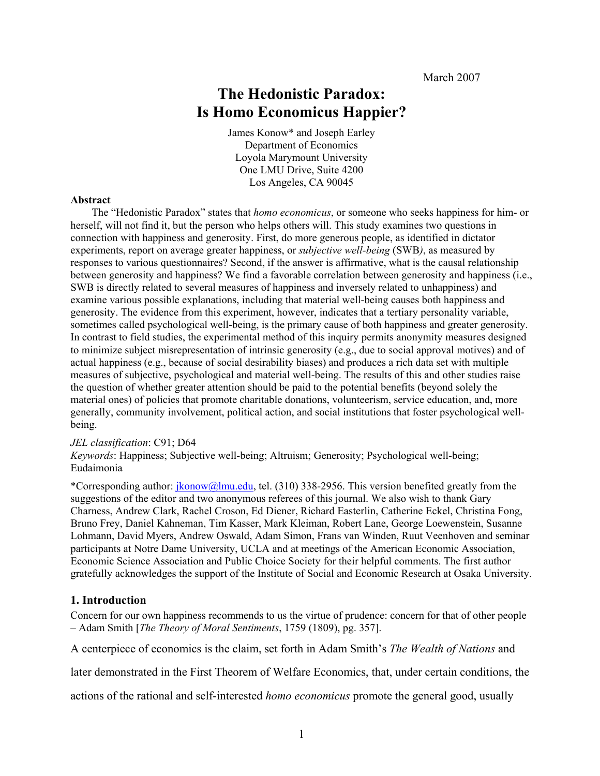March 2007

## **The Hedonistic Paradox: Is Homo Economicus Happier?**

James Konow\* and Joseph Earley Department of Economics Loyola Marymount University One LMU Drive, Suite 4200 Los Angeles, CA 90045

#### **Abstract**

The "Hedonistic Paradox" states that *homo economicus*, or someone who seeks happiness for him- or herself, will not find it, but the person who helps others will. This study examines two questions in connection with happiness and generosity. First, do more generous people, as identified in dictator experiments, report on average greater happiness, or *subjective well-being* (SWB*)*, as measured by responses to various questionnaires? Second, if the answer is affirmative, what is the causal relationship between generosity and happiness? We find a favorable correlation between generosity and happiness (i.e., SWB is directly related to several measures of happiness and inversely related to unhappiness) and examine various possible explanations, including that material well-being causes both happiness and generosity. The evidence from this experiment, however, indicates that a tertiary personality variable, sometimes called psychological well-being, is the primary cause of both happiness and greater generosity. In contrast to field studies, the experimental method of this inquiry permits anonymity measures designed to minimize subject misrepresentation of intrinsic generosity (e.g., due to social approval motives) and of actual happiness (e.g., because of social desirability biases) and produces a rich data set with multiple measures of subjective, psychological and material well-being. The results of this and other studies raise the question of whether greater attention should be paid to the potential benefits (beyond solely the material ones) of policies that promote charitable donations, volunteerism, service education, and, more generally, community involvement, political action, and social institutions that foster psychological wellbeing.

#### *JEL classification*: C91; D64

*Keywords*: Happiness; Subjective well-being; Altruism; Generosity; Psychological well-being; Eudaimonia

\*Corresponding author: [jkonow@lmu.edu,](mailto:jkonow@lmu.edu) tel. (310) 338-2956. This version benefited greatly from the suggestions of the editor and two anonymous referees of this journal. We also wish to thank Gary Charness, Andrew Clark, Rachel Croson, Ed Diener, Richard Easterlin, Catherine Eckel, Christina Fong, Bruno Frey, Daniel Kahneman, Tim Kasser, Mark Kleiman, Robert Lane, George Loewenstein, Susanne Lohmann, David Myers, Andrew Oswald, Adam Simon, Frans van Winden, Ruut Veenhoven and seminar participants at Notre Dame University, UCLA and at meetings of the American Economic Association, Economic Science Association and Public Choice Society for their helpful comments. The first author gratefully acknowledges the support of the Institute of Social and Economic Research at Osaka University.

#### **1. Introduction**

Concern for our own happiness recommends to us the virtue of prudence: concern for that of other people – Adam Smith [*The Theory of Moral Sentiments*, 1759 (1809), pg. 357].

A centerpiece of economics is the claim, set forth in Adam Smith's *The Wealth of Nations* and

later demonstrated in the First Theorem of Welfare Economics, that, under certain conditions, the

actions of the rational and self-interested *homo economicus* promote the general good, usually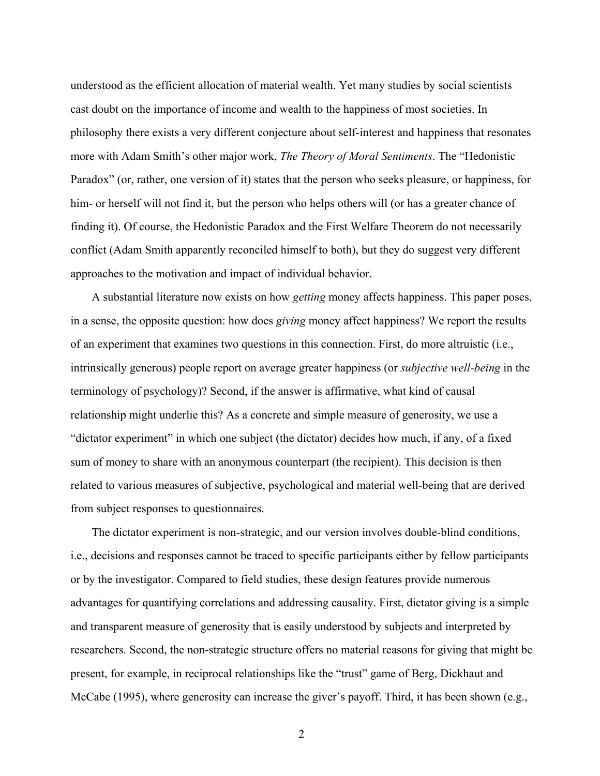understood as the efficient allocation of material wealth. Yet many studies by social scientists cast doubt on the importance of income and wealth to the happiness of most societies. In philosophy there exists a very different conjecture about self-interest and happiness that resonates more with Adam Smith's other major work, *The Theory of Moral Sentiments*. The "Hedonistic Paradox" (or, rather, one version of it) states that the person who seeks pleasure, or happiness, for him- or herself will not find it, but the person who helps others will (or has a greater chance of finding it). Of course, the Hedonistic Paradox and the First Welfare Theorem do not necessarily conflict (Adam Smith apparently reconciled himself to both), but they do suggest very different approaches to the motivation and impact of individual behavior.

A substantial literature now exists on how *getting* money affects happiness. This paper poses, in a sense, the opposite question: how does *giving* money affect happiness? We report the results of an experiment that examines two questions in this connection. First, do more altruistic (i.e., intrinsically generous) people report on average greater happiness (or *subjective well-being* in the terminology of psychology)? Second, if the answer is affirmative, what kind of causal relationship might underlie this? As a concrete and simple measure of generosity, we use a "dictator experiment" in which one subject (the dictator) decides how much, if any, of a fixed sum of money to share with an anonymous counterpart (the recipient). This decision is then related to various measures of subjective, psychological and material well-being that are derived from subject responses to questionnaires.

The dictator experiment is non-strategic, and our version involves double-blind conditions, i.e., decisions and responses cannot be traced to specific participants either by fellow participants or by the investigator. Compared to field studies, these design features provide numerous advantages for quantifying correlations and addressing causality. First, dictator giving is a simple and transparent measure of generosity that is easily understood by subjects and interpreted by researchers. Second, the non-strategic structure offers no material reasons for giving that might be present, for example, in reciprocal relationships like the "trust" game of Berg, Dickhaut and McCabe (1995), where generosity can increase the giver's payoff. Third, it has been shown (e.g.,

2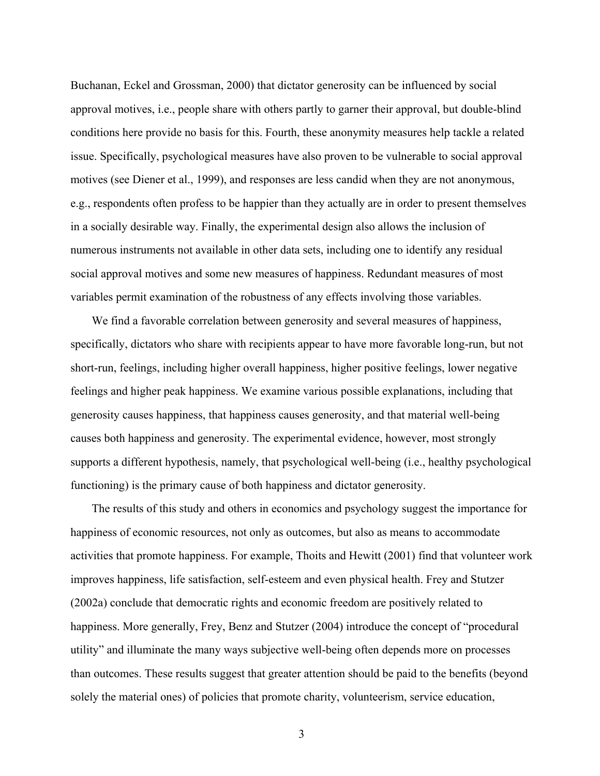Buchanan, Eckel and Grossman, 2000) that dictator generosity can be influenced by social approval motives, i.e., people share with others partly to garner their approval, but double-blind conditions here provide no basis for this. Fourth, these anonymity measures help tackle a related issue. Specifically, psychological measures have also proven to be vulnerable to social approval motives (see Diener et al., 1999), and responses are less candid when they are not anonymous, e.g., respondents often profess to be happier than they actually are in order to present themselves in a socially desirable way. Finally, the experimental design also allows the inclusion of numerous instruments not available in other data sets, including one to identify any residual social approval motives and some new measures of happiness. Redundant measures of most variables permit examination of the robustness of any effects involving those variables.

We find a favorable correlation between generosity and several measures of happiness, specifically, dictators who share with recipients appear to have more favorable long-run, but not short-run, feelings, including higher overall happiness, higher positive feelings, lower negative feelings and higher peak happiness. We examine various possible explanations, including that generosity causes happiness, that happiness causes generosity, and that material well-being causes both happiness and generosity. The experimental evidence, however, most strongly supports a different hypothesis, namely, that psychological well-being (i.e., healthy psychological functioning) is the primary cause of both happiness and dictator generosity.

The results of this study and others in economics and psychology suggest the importance for happiness of economic resources, not only as outcomes, but also as means to accommodate activities that promote happiness. For example, Thoits and Hewitt (2001) find that volunteer work improves happiness, life satisfaction, self-esteem and even physical health. Frey and Stutzer (2002a) conclude that democratic rights and economic freedom are positively related to happiness. More generally, Frey, Benz and Stutzer (2004) introduce the concept of "procedural utility" and illuminate the many ways subjective well-being often depends more on processes than outcomes. These results suggest that greater attention should be paid to the benefits (beyond solely the material ones) of policies that promote charity, volunteerism, service education,

3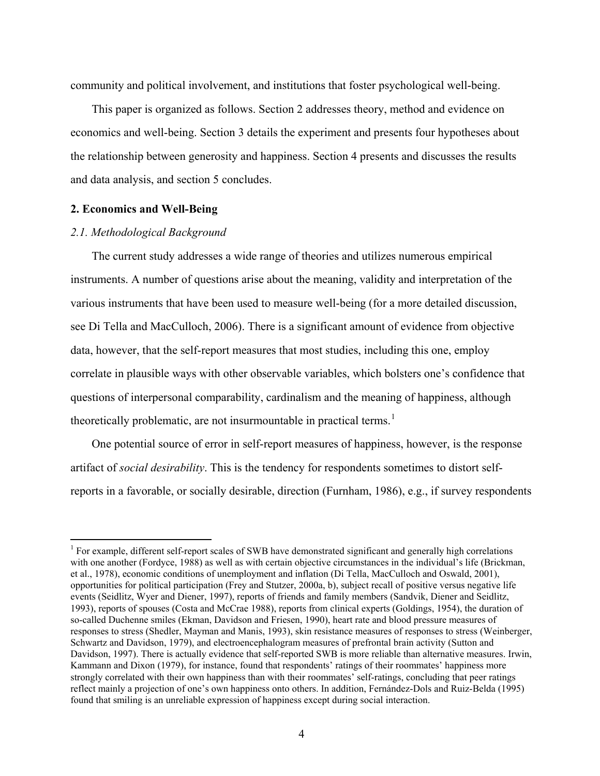<span id="page-4-0"></span>community and political involvement, and institutions that foster psychological well-being.

This paper is organized as follows. Section 2 addresses theory, method and evidence on economics and well-being. Section 3 details the experiment and presents four hypotheses about the relationship between generosity and happiness. Section 4 presents and discusses the results and data analysis, and section 5 concludes.

#### **2. Economics and Well-Being**

#### *2.1. Methodological Background*

 $\overline{a}$ 

The current study addresses a wide range of theories and utilizes numerous empirical instruments. A number of questions arise about the meaning, validity and interpretation of the various instruments that have been used to measure well-being (for a more detailed discussion, see Di Tella and MacCulloch, 2006). There is a significant amount of evidence from objective data, however, that the self-report measures that most studies, including this one, employ correlate in plausible ways with other observable variables, which bolsters one's confidence that questions of interpersonal comparability, cardinalism and the meaning of happiness, although theoretically problematic, are not insurmountable in practical terms.<sup>[1](#page-4-0)</sup>

One potential source of error in self-report measures of happiness, however, is the response artifact of *social desirability*. This is the tendency for respondents sometimes to distort selfreports in a favorable, or socially desirable, direction (Furnham, 1986), e.g., if survey respondents

<sup>&</sup>lt;sup>1</sup> For example, different self-report scales of SWB have demonstrated significant and generally high correlations with one another (Fordyce, 1988) as well as with certain objective circumstances in the individual's life (Brickman, et al., 1978), economic conditions of unemployment and inflation (Di Tella, MacCulloch and Oswald, 2001), opportunities for political participation (Frey and Stutzer, 2000a, b), subject recall of positive versus negative life events (Seidlitz, Wyer and Diener, 1997), reports of friends and family members (Sandvik, Diener and Seidlitz, 1993), reports of spouses (Costa and McCrae 1988), reports from clinical experts (Goldings, 1954), the duration of so-called Duchenne smiles (Ekman, Davidson and Friesen, 1990), heart rate and blood pressure measures of responses to stress (Shedler, Mayman and Manis, 1993), skin resistance measures of responses to stress (Weinberger, Schwartz and Davidson, 1979), and electroencephalogram measures of prefrontal brain activity (Sutton and Davidson, 1997). There is actually evidence that self-reported SWB is more reliable than alternative measures. Irwin, Kammann and Dixon (1979), for instance, found that respondents' ratings of their roommates' happiness more strongly correlated with their own happiness than with their roommates' self-ratings, concluding that peer ratings reflect mainly a projection of one's own happiness onto others. In addition, Fernández-Dols and Ruiz-Belda (1995) found that smiling is an unreliable expression of happiness except during social interaction.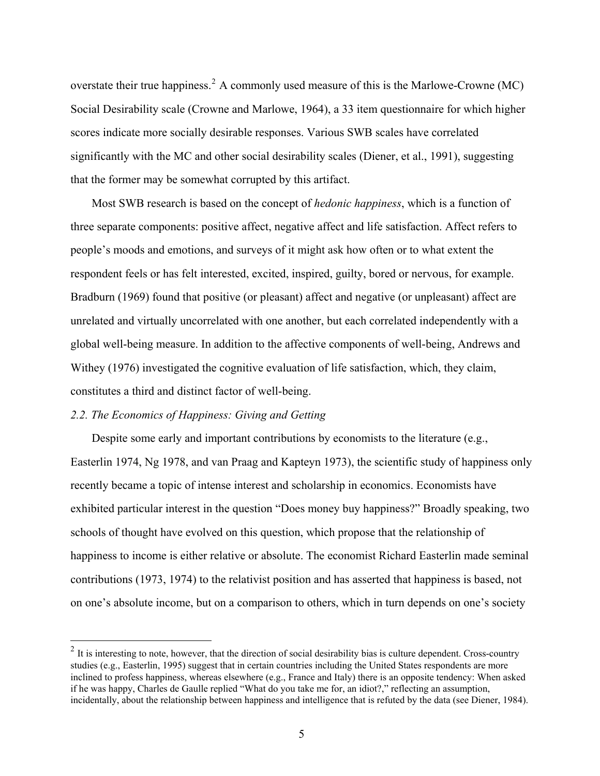<span id="page-5-0"></span>overstate their true happiness.<sup>[2](#page-5-0)</sup> A commonly used measure of this is the Marlowe-Crowne (MC) Social Desirability scale (Crowne and Marlowe, 1964), a 33 item questionnaire for which higher scores indicate more socially desirable responses. Various SWB scales have correlated significantly with the MC and other social desirability scales (Diener, et al., 1991), suggesting that the former may be somewhat corrupted by this artifact.

Most SWB research is based on the concept of *hedonic happiness*, which is a function of three separate components: positive affect, negative affect and life satisfaction. Affect refers to people's moods and emotions, and surveys of it might ask how often or to what extent the respondent feels or has felt interested, excited, inspired, guilty, bored or nervous, for example. Bradburn (1969) found that positive (or pleasant) affect and negative (or unpleasant) affect are unrelated and virtually uncorrelated with one another, but each correlated independently with a global well-being measure. In addition to the affective components of well-being, Andrews and Withey (1976) investigated the cognitive evaluation of life satisfaction, which, they claim, constitutes a third and distinct factor of well-being.

## *2.2. The Economics of Happiness: Giving and Getting*

 $\overline{a}$ 

Despite some early and important contributions by economists to the literature (e.g., Easterlin 1974, Ng 1978, and van Praag and Kapteyn 1973), the scientific study of happiness only recently became a topic of intense interest and scholarship in economics. Economists have exhibited particular interest in the question "Does money buy happiness?" Broadly speaking, two schools of thought have evolved on this question, which propose that the relationship of happiness to income is either relative or absolute. The economist Richard Easterlin made seminal contributions (1973, 1974) to the relativist position and has asserted that happiness is based, not on one's absolute income, but on a comparison to others, which in turn depends on one's society

 $2$  It is interesting to note, however, that the direction of social desirability bias is culture dependent. Cross-country studies (e.g., Easterlin, 1995) suggest that in certain countries including the United States respondents are more inclined to profess happiness, whereas elsewhere (e.g., France and Italy) there is an opposite tendency: When asked if he was happy, Charles de Gaulle replied "What do you take me for, an idiot?," reflecting an assumption, incidentally, about the relationship between happiness and intelligence that is refuted by the data (see Diener, 1984).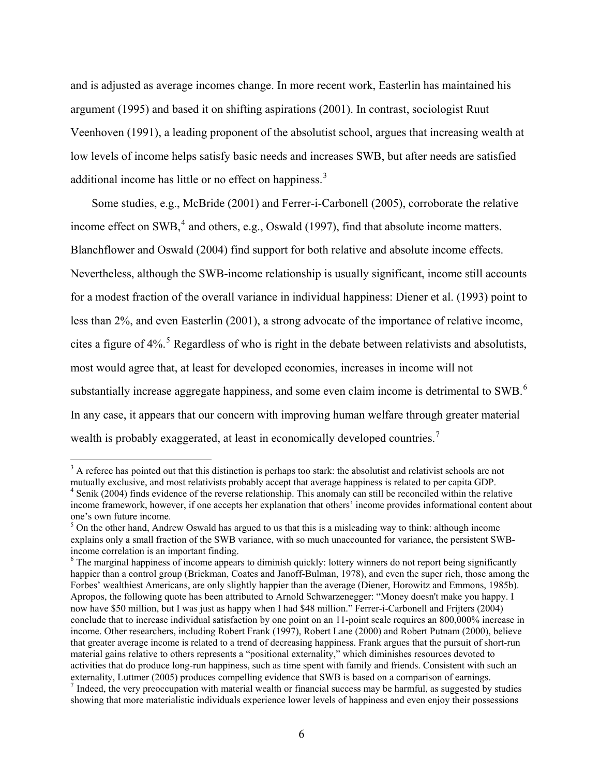<span id="page-6-0"></span>and is adjusted as average incomes change. In more recent work, Easterlin has maintained his argument (1995) and based it on shifting aspirations (2001). In contrast, sociologist Ruut Veenhoven (1991), a leading proponent of the absolutist school, argues that increasing wealth at low levels of income helps satisfy basic needs and increases SWB, but after needs are satisfied additional income has little or no effect on happiness.<sup>[3](#page-6-0)</sup>

Some studies, e.g., McBride (2001) and Ferrer-i-Carbonell (2005), corroborate the relative income effect on SWB, $<sup>4</sup>$  $<sup>4</sup>$  $<sup>4</sup>$  and others, e.g., Oswald (1997), find that absolute income matters.</sup> Blanchflower and Oswald (2004) find support for both relative and absolute income effects. Nevertheless, although the SWB-income relationship is usually significant, income still accounts for a modest fraction of the overall variance in individual happiness: Diener et al. (1993) point to less than 2%, and even Easterlin (2001), a strong advocate of the importance of relative income, cites a figure of  $4\%$ <sup>[5](#page-6-0)</sup>. Regardless of who is right in the debate between relativists and absolutists, most would agree that, at least for developed economies, increases in income will not substantially increase aggregate happiness, and some even claim income is detrimental to SWB.<sup>[6](#page-6-0)</sup> In any case, it appears that our concern with improving human welfare through greater material wealth is probably exaggerated, at least in economically developed countries.<sup>[7](#page-6-0)</sup>

<sup>&</sup>lt;sup>3</sup> A referee has pointed out that this distinction is perhaps too stark: the absolutist and relativist schools are not mutually exclusive, and most relativists probably accept that average happiness is related to per capita GDP. 4 <sup>4</sup> Senik (2004) finds evidence of the reverse relationship. This anomaly can still be reconciled within the relative income framework, however, if one accepts her explanation that others' income provides informational content about one's own future income.

 $<sup>5</sup>$  On the other hand, Andrew Oswald has argued to us that this is a misleading way to think: although income</sup> explains only a small fraction of the SWB variance, with so much unaccounted for variance, the persistent SWBincome correlation is an important finding.

<sup>&</sup>lt;sup>6</sup> The marginal happiness of income appears to diminish quickly: lottery winners do not report being significantly happier than a control group (Brickman, Coates and Janoff-Bulman, 1978), and even the super rich, those among the Forbes' wealthiest Americans, are only slightly happier than the average (Diener, Horowitz and Emmons, 1985b). Apropos, the following quote has been attributed to Arnold Schwarzenegger: "Money doesn't make you happy. I now have \$50 million, but I was just as happy when I had \$48 million." Ferrer-i-Carbonell and Frijters (2004) conclude that to increase individual satisfaction by one point on an 11-point scale requires an 800,000% increase in income. Other researchers, including Robert Frank (1997), Robert Lane (2000) and Robert Putnam (2000), believe that greater average income is related to a trend of decreasing happiness. Frank argues that the pursuit of short-run material gains relative to others represents a "positional externality," which diminishes resources devoted to activities that do produce long-run happiness, such as time spent with family and friends. Consistent with such an externality, Luttmer (2005) produces compelling evidence that SWB is based on a comparison of earnings.  $\frac{7}{1}$  Indeed, the very preoccupation with material wealth or financial success may be harmful, as suggested by st

showing that more materialistic individuals experience lower levels of happiness and even enjoy their possessions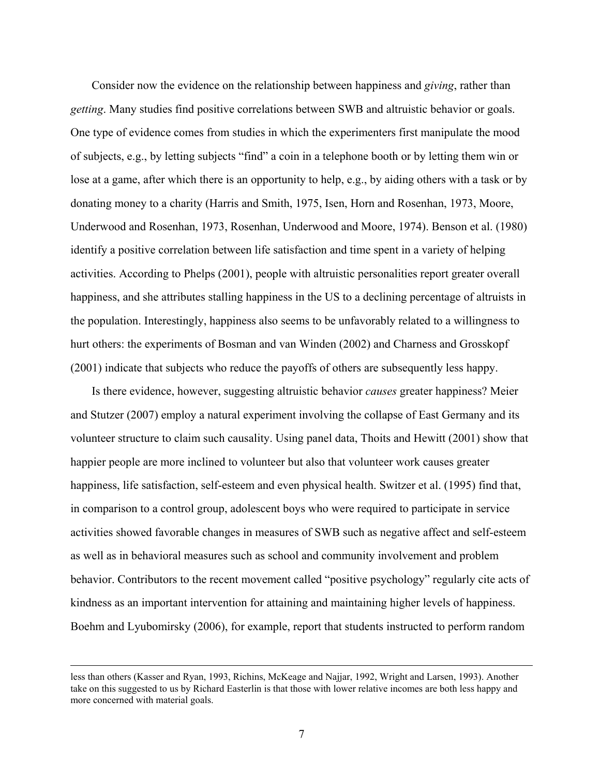Consider now the evidence on the relationship between happiness and *giving*, rather than *getting*. Many studies find positive correlations between SWB and altruistic behavior or goals. One type of evidence comes from studies in which the experimenters first manipulate the mood of subjects, e.g., by letting subjects "find" a coin in a telephone booth or by letting them win or lose at a game, after which there is an opportunity to help, e.g., by aiding others with a task or by donating money to a charity (Harris and Smith, 1975, Isen, Horn and Rosenhan, 1973, Moore, Underwood and Rosenhan, 1973, Rosenhan, Underwood and Moore, 1974). Benson et al. (1980) identify a positive correlation between life satisfaction and time spent in a variety of helping activities. According to Phelps (2001), people with altruistic personalities report greater overall happiness, and she attributes stalling happiness in the US to a declining percentage of altruists in the population. Interestingly, happiness also seems to be unfavorably related to a willingness to hurt others: the experiments of Bosman and van Winden (2002) and Charness and Grosskopf (2001) indicate that subjects who reduce the payoffs of others are subsequently less happy.

Is there evidence, however, suggesting altruistic behavior *causes* greater happiness? Meier and Stutzer (2007) employ a natural experiment involving the collapse of East Germany and its volunteer structure to claim such causality. Using panel data, Thoits and Hewitt (2001) show that happier people are more inclined to volunteer but also that volunteer work causes greater happiness, life satisfaction, self-esteem and even physical health. Switzer et al. (1995) find that, in comparison to a control group, adolescent boys who were required to participate in service activities showed favorable changes in measures of SWB such as negative affect and self-esteem as well as in behavioral measures such as school and community involvement and problem behavior. Contributors to the recent movement called "positive psychology" regularly cite acts of kindness as an important intervention for attaining and maintaining higher levels of happiness. Boehm and Lyubomirsky (2006), for example, report that students instructed to perform random

less than others (Kasser and Ryan, 1993, Richins, McKeage and Najjar, 1992, Wright and Larsen, 1993). Another take on this suggested to us by Richard Easterlin is that those with lower relative incomes are both less happy and more concerned with material goals.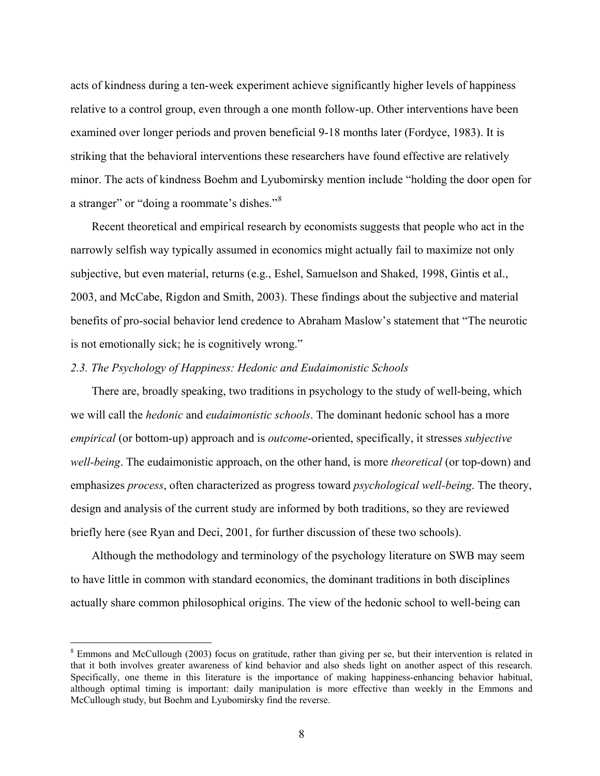<span id="page-8-0"></span>acts of kindness during a ten-week experiment achieve significantly higher levels of happiness relative to a control group, even through a one month follow-up. Other interventions have been examined over longer periods and proven beneficial 9-18 months later (Fordyce, 1983). It is striking that the behavioral interventions these researchers have found effective are relatively minor. The acts of kindness Boehm and Lyubomirsky mention include "holding the door open for a stranger" or "doing a roommate's dishes."<sup>[8](#page-8-0)</sup>

Recent theoretical and empirical research by economists suggests that people who act in the narrowly selfish way typically assumed in economics might actually fail to maximize not only subjective, but even material, returns (e.g., Eshel, Samuelson and Shaked, 1998, Gintis et al., 2003, and McCabe, Rigdon and Smith, 2003). These findings about the subjective and material benefits of pro-social behavior lend credence to Abraham Maslow's statement that "The neurotic is not emotionally sick; he is cognitively wrong."

#### *2.3. The Psychology of Happiness: Hedonic and Eudaimonistic Schools*

 $\overline{a}$ 

There are, broadly speaking, two traditions in psychology to the study of well-being, which we will call the *hedonic* and *eudaimonistic schools*. The dominant hedonic school has a more *empirical* (or bottom-up) approach and is *outcome*-oriented, specifically, it stresses *subjective well-being*. The eudaimonistic approach, on the other hand, is more *theoretical* (or top-down) and emphasizes *process*, often characterized as progress toward *psychological well-being*. The theory, design and analysis of the current study are informed by both traditions, so they are reviewed briefly here (see Ryan and Deci, 2001, for further discussion of these two schools).

Although the methodology and terminology of the psychology literature on SWB may seem to have little in common with standard economics, the dominant traditions in both disciplines actually share common philosophical origins. The view of the hedonic school to well-being can

<sup>&</sup>lt;sup>8</sup> Emmons and McCullough (2003) focus on gratitude, rather than giving per se, but their intervention is related in that it both involves greater awareness of kind behavior and also sheds light on another aspect of this research. Specifically, one theme in this literature is the importance of making happiness-enhancing behavior habitual, although optimal timing is important: daily manipulation is more effective than weekly in the Emmons and McCullough study, but Boehm and Lyubomirsky find the reverse.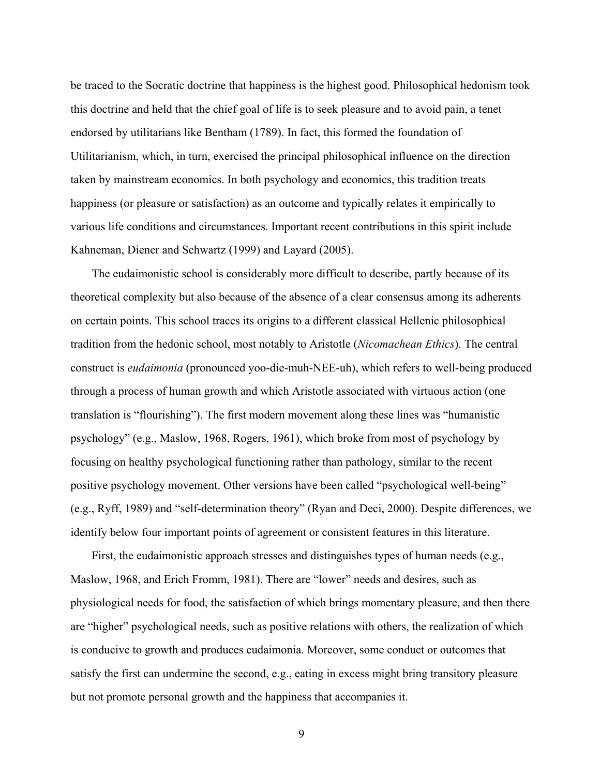be traced to the Socratic doctrine that happiness is the highest good. Philosophical hedonism took this doctrine and held that the chief goal of life is to seek pleasure and to avoid pain, a tenet endorsed by utilitarians like Bentham (1789). In fact, this formed the foundation of Utilitarianism, which, in turn, exercised the principal philosophical influence on the direction taken by mainstream economics. In both psychology and economics, this tradition treats happiness (or pleasure or satisfaction) as an outcome and typically relates it empirically to various life conditions and circumstances. Important recent contributions in this spirit include Kahneman, Diener and Schwartz (1999) and Layard (2005).

The eudaimonistic school is considerably more difficult to describe, partly because of its theoretical complexity but also because of the absence of a clear consensus among its adherents on certain points. This school traces its origins to a different classical Hellenic philosophical tradition from the hedonic school, most notably to Aristotle (*Nicomachean Ethics*). The central construct is *eudaimonia* (pronounced yoo-die-muh-NEE-uh), which refers to well-being produced through a process of human growth and which Aristotle associated with virtuous action (one translation is "flourishing"). The first modern movement along these lines was "humanistic psychology" (e.g., Maslow, 1968, Rogers, 1961), which broke from most of psychology by focusing on healthy psychological functioning rather than pathology, similar to the recent positive psychology movement. Other versions have been called "psychological well-being" (e.g., Ryff, 1989) and "self-determination theory" (Ryan and Deci, 2000). Despite differences, we identify below four important points of agreement or consistent features in this literature.

First, the eudaimonistic approach stresses and distinguishes types of human needs (e.g., Maslow, 1968, and Erich Fromm, 1981). There are "lower" needs and desires, such as physiological needs for food, the satisfaction of which brings momentary pleasure, and then there are "higher" psychological needs, such as positive relations with others, the realization of which is conducive to growth and produces eudaimonia. Moreover, some conduct or outcomes that satisfy the first can undermine the second, e.g., eating in excess might bring transitory pleasure but not promote personal growth and the happiness that accompanies it.

9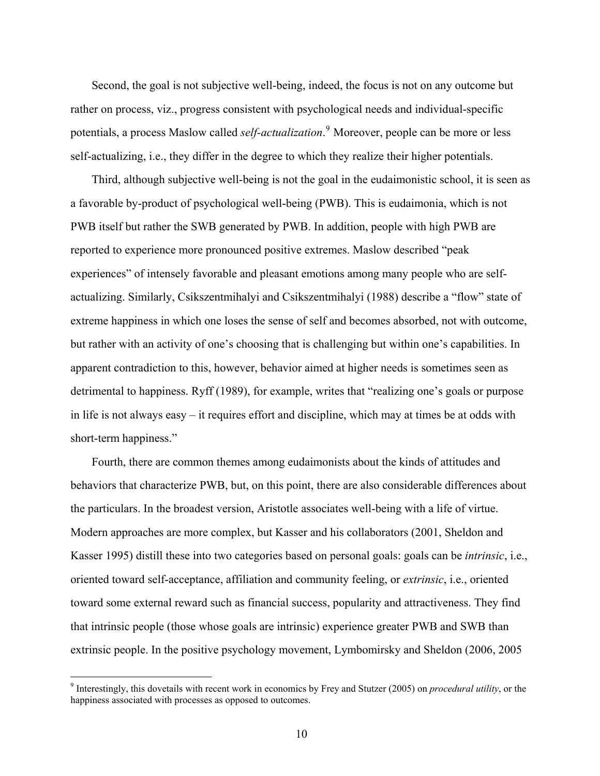<span id="page-10-0"></span>Second, the goal is not subjective well-being, indeed, the focus is not on any outcome but rather on process, viz., progress consistent with psychological needs and individual-specific potentials, a process Maslow called *self-actualization*. [9](#page-10-0) Moreover, people can be more or less self-actualizing, i.e., they differ in the degree to which they realize their higher potentials.

Third, although subjective well-being is not the goal in the eudaimonistic school, it is seen as a favorable by-product of psychological well-being (PWB). This is eudaimonia, which is not PWB itself but rather the SWB generated by PWB. In addition, people with high PWB are reported to experience more pronounced positive extremes. Maslow described "peak experiences" of intensely favorable and pleasant emotions among many people who are selfactualizing. Similarly, Csikszentmihalyi and Csikszentmihalyi (1988) describe a "flow" state of extreme happiness in which one loses the sense of self and becomes absorbed, not with outcome, but rather with an activity of one's choosing that is challenging but within one's capabilities. In apparent contradiction to this, however, behavior aimed at higher needs is sometimes seen as detrimental to happiness. Ryff (1989), for example, writes that "realizing one's goals or purpose in life is not always easy – it requires effort and discipline, which may at times be at odds with short-term happiness."

Fourth, there are common themes among eudaimonists about the kinds of attitudes and behaviors that characterize PWB, but, on this point, there are also considerable differences about the particulars. In the broadest version, Aristotle associates well-being with a life of virtue. Modern approaches are more complex, but Kasser and his collaborators (2001, Sheldon and Kasser 1995) distill these into two categories based on personal goals: goals can be *intrinsic*, i.e., oriented toward self-acceptance, affiliation and community feeling, or *extrinsic*, i.e., oriented toward some external reward such as financial success, popularity and attractiveness. They find that intrinsic people (those whose goals are intrinsic) experience greater PWB and SWB than extrinsic people. In the positive psychology movement, Lymbomirsky and Sheldon (2006, 2005

<sup>9</sup> Interestingly, this dovetails with recent work in economics by Frey and Stutzer (2005) on *procedural utility*, or the happiness associated with processes as opposed to outcomes.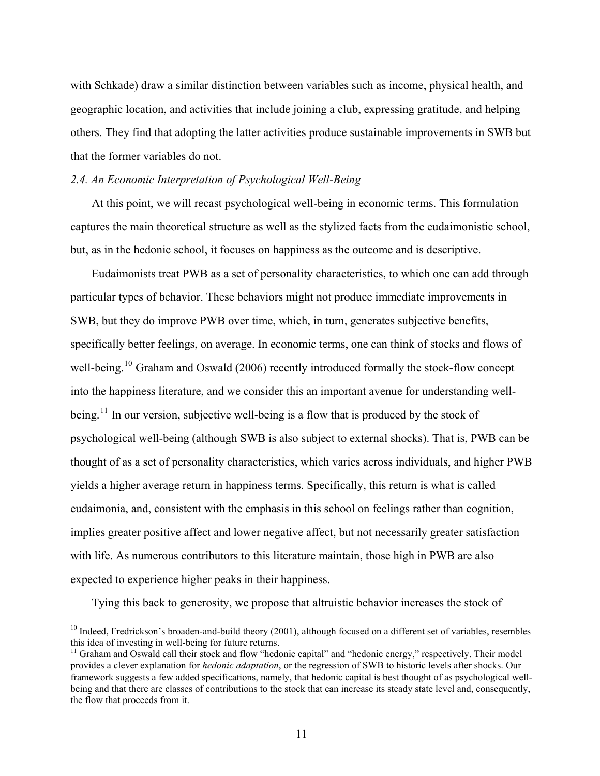<span id="page-11-0"></span>with Schkade) draw a similar distinction between variables such as income, physical health, and geographic location, and activities that include joining a club, expressing gratitude, and helping others. They find that adopting the latter activities produce sustainable improvements in SWB but that the former variables do not.

## *2.4. An Economic Interpretation of Psychological Well-Being*

At this point, we will recast psychological well-being in economic terms. This formulation captures the main theoretical structure as well as the stylized facts from the eudaimonistic school, but, as in the hedonic school, it focuses on happiness as the outcome and is descriptive.

Eudaimonists treat PWB as a set of personality characteristics, to which one can add through particular types of behavior. These behaviors might not produce immediate improvements in SWB, but they do improve PWB over time, which, in turn, generates subjective benefits, specifically better feelings, on average. In economic terms, one can think of stocks and flows of well-being.<sup>[10](#page-11-0)</sup> Graham and Oswald (2006) recently introduced formally the stock-flow concept into the happiness literature, and we consider this an important avenue for understanding well-being.<sup>[11](#page-11-0)</sup> In our version, subjective well-being is a flow that is produced by the stock of psychological well-being (although SWB is also subject to external shocks). That is, PWB can be thought of as a set of personality characteristics, which varies across individuals, and higher PWB yields a higher average return in happiness terms. Specifically, this return is what is called eudaimonia, and, consistent with the emphasis in this school on feelings rather than cognition, implies greater positive affect and lower negative affect, but not necessarily greater satisfaction with life. As numerous contributors to this literature maintain, those high in PWB are also expected to experience higher peaks in their happiness.

Tying this back to generosity, we propose that altruistic behavior increases the stock of

 $10$  Indeed, Fredrickson's broaden-and-build theory (2001), although focused on a different set of variables, resembles this idea of investing in well-being for future returns.

 $<sup>11</sup>$  Graham and Oswald call their stock and flow "hedonic capital" and "hedonic energy," respectively. Their model</sup> provides a clever explanation for *hedonic adaptation*, or the regression of SWB to historic levels after shocks. Our framework suggests a few added specifications, namely, that hedonic capital is best thought of as psychological wellbeing and that there are classes of contributions to the stock that can increase its steady state level and, consequently, the flow that proceeds from it.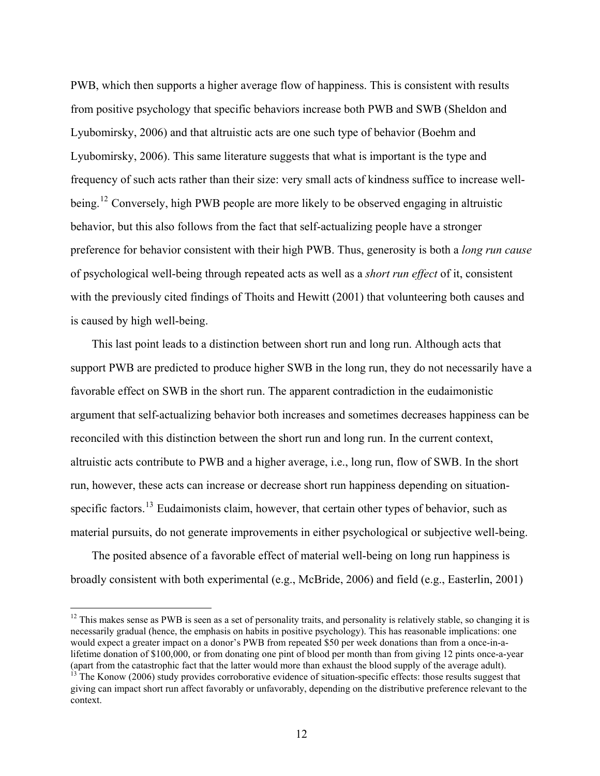<span id="page-12-0"></span>PWB, which then supports a higher average flow of happiness. This is consistent with results from positive psychology that specific behaviors increase both PWB and SWB (Sheldon and Lyubomirsky, 2006) and that altruistic acts are one such type of behavior (Boehm and Lyubomirsky, 2006). This same literature suggests that what is important is the type and frequency of such acts rather than their size: very small acts of kindness suffice to increase well-being.<sup>[12](#page-12-0)</sup> Conversely, high PWB people are more likely to be observed engaging in altruistic behavior, but this also follows from the fact that self-actualizing people have a stronger preference for behavior consistent with their high PWB. Thus, generosity is both a *long run cause* of psychological well-being through repeated acts as well as a *short run effect* of it, consistent with the previously cited findings of Thoits and Hewitt (2001) that volunteering both causes and is caused by high well-being.

This last point leads to a distinction between short run and long run. Although acts that support PWB are predicted to produce higher SWB in the long run, they do not necessarily have a favorable effect on SWB in the short run. The apparent contradiction in the eudaimonistic argument that self-actualizing behavior both increases and sometimes decreases happiness can be reconciled with this distinction between the short run and long run. In the current context, altruistic acts contribute to PWB and a higher average, i.e., long run, flow of SWB. In the short run, however, these acts can increase or decrease short run happiness depending on situation-specific factors.<sup>[13](#page-12-0)</sup> Eudaimonists claim, however, that certain other types of behavior, such as material pursuits, do not generate improvements in either psychological or subjective well-being.

The posited absence of a favorable effect of material well-being on long run happiness is broadly consistent with both experimental (e.g., McBride, 2006) and field (e.g., Easterlin, 2001)

 $12$  This makes sense as PWB is seen as a set of personality traits, and personality is relatively stable, so changing it is necessarily gradual (hence, the emphasis on habits in positive psychology). This has reasonable implications: one would expect a greater impact on a donor's PWB from repeated \$50 per week donations than from a once-in-alifetime donation of \$100,000, or from donating one pint of blood per month than from giving 12 pints once-a-year (apart from the catastrophic fact that the latter would more than exhaust the blood supply of the average adult).

 $^{13}$  The Konow (2006) study provides corroborative evidence of situation-specific effects: those results suggest that giving can impact short run affect favorably or unfavorably, depending on the distributive preference relevant to the context.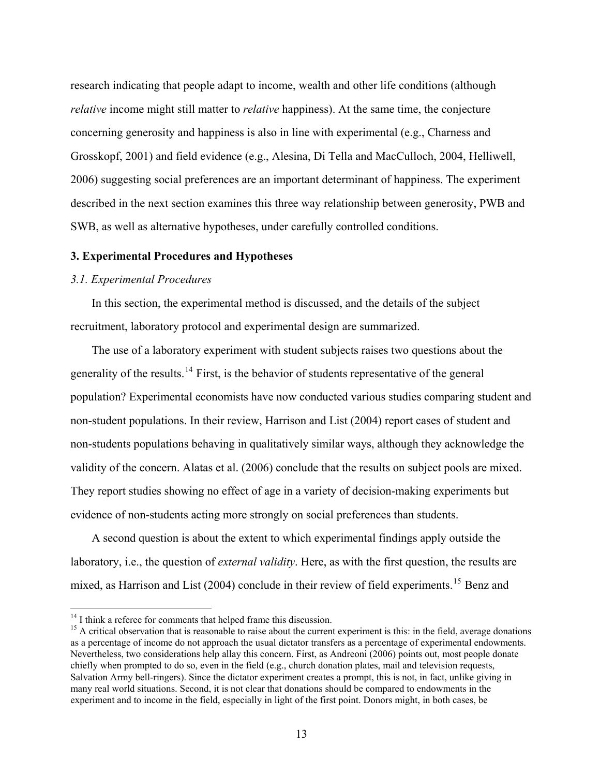<span id="page-13-0"></span>research indicating that people adapt to income, wealth and other life conditions (although *relative* income might still matter to *relative* happiness). At the same time, the conjecture concerning generosity and happiness is also in line with experimental (e.g., Charness and Grosskopf, 2001) and field evidence (e.g., Alesina, Di Tella and MacCulloch, 2004, Helliwell, 2006) suggesting social preferences are an important determinant of happiness. The experiment described in the next section examines this three way relationship between generosity, PWB and SWB, as well as alternative hypotheses, under carefully controlled conditions.

#### **3. Experimental Procedures and Hypotheses**

#### *3.1. Experimental Procedures*

In this section, the experimental method is discussed, and the details of the subject recruitment, laboratory protocol and experimental design are summarized.

The use of a laboratory experiment with student subjects raises two questions about the generality of the results.<sup>[14](#page-13-0)</sup> First, is the behavior of students representative of the general population? Experimental economists have now conducted various studies comparing student and non-student populations. In their review, Harrison and List (2004) report cases of student and non-students populations behaving in qualitatively similar ways, although they acknowledge the validity of the concern. Alatas et al. (2006) conclude that the results on subject pools are mixed. They report studies showing no effect of age in a variety of decision-making experiments but evidence of non-students acting more strongly on social preferences than students.

A second question is about the extent to which experimental findings apply outside the laboratory, i.e., the question of *external validity*. Here, as with the first question, the results are mixed, as Harrison and List (2004) conclude in their review of field experiments.<sup>[15](#page-13-0)</sup> Benz and

<sup>&</sup>lt;sup>14</sup> I think a referee for comments that helped frame this discussion.  $15$  A critical observation that is reasonable to raise about the current experiment is this: in the field, average donations as a percentage of income do not approach the usual dictator transfers as a percentage of experimental endowments. Nevertheless, two considerations help allay this concern. First, as Andreoni (2006) points out, most people donate chiefly when prompted to do so, even in the field (e.g., church donation plates, mail and television requests, Salvation Army bell-ringers). Since the dictator experiment creates a prompt, this is not, in fact, unlike giving in many real world situations. Second, it is not clear that donations should be compared to endowments in the experiment and to income in the field, especially in light of the first point. Donors might, in both cases, be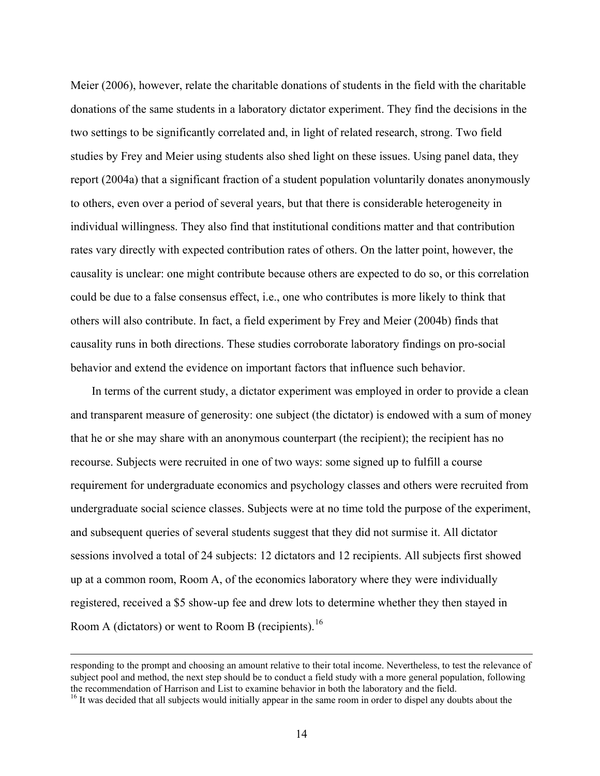<span id="page-14-0"></span>Meier (2006), however, relate the charitable donations of students in the field with the charitable donations of the same students in a laboratory dictator experiment. They find the decisions in the two settings to be significantly correlated and, in light of related research, strong. Two field studies by Frey and Meier using students also shed light on these issues. Using panel data, they report (2004a) that a significant fraction of a student population voluntarily donates anonymously to others, even over a period of several years, but that there is considerable heterogeneity in individual willingness. They also find that institutional conditions matter and that contribution rates vary directly with expected contribution rates of others. On the latter point, however, the causality is unclear: one might contribute because others are expected to do so, or this correlation could be due to a false consensus effect, i.e., one who contributes is more likely to think that others will also contribute. In fact, a field experiment by Frey and Meier (2004b) finds that causality runs in both directions. These studies corroborate laboratory findings on pro-social behavior and extend the evidence on important factors that influence such behavior.

In terms of the current study, a dictator experiment was employed in order to provide a clean and transparent measure of generosity: one subject (the dictator) is endowed with a sum of money that he or she may share with an anonymous counterpart (the recipient); the recipient has no recourse. Subjects were recruited in one of two ways: some signed up to fulfill a course requirement for undergraduate economics and psychology classes and others were recruited from undergraduate social science classes. Subjects were at no time told the purpose of the experiment, and subsequent queries of several students suggest that they did not surmise it. All dictator sessions involved a total of 24 subjects: 12 dictators and 12 recipients. All subjects first showed up at a common room, Room A, of the economics laboratory where they were individually registered, received a \$5 show-up fee and drew lots to determine whether they then stayed in Room A (dictators) or went to Room B (recipients).<sup>[16](#page-14-0)</sup>

responding to the prompt and choosing an amount relative to their total income. Nevertheless, to test the relevance of subject pool and method, the next step should be to conduct a field study with a more general population, following the recommendation of Harrison and List to examine behavior in both the laboratory and the field.

<sup>&</sup>lt;sup>16</sup> It was decided that all subjects would initially appear in the same room in order to dispel any doubts about the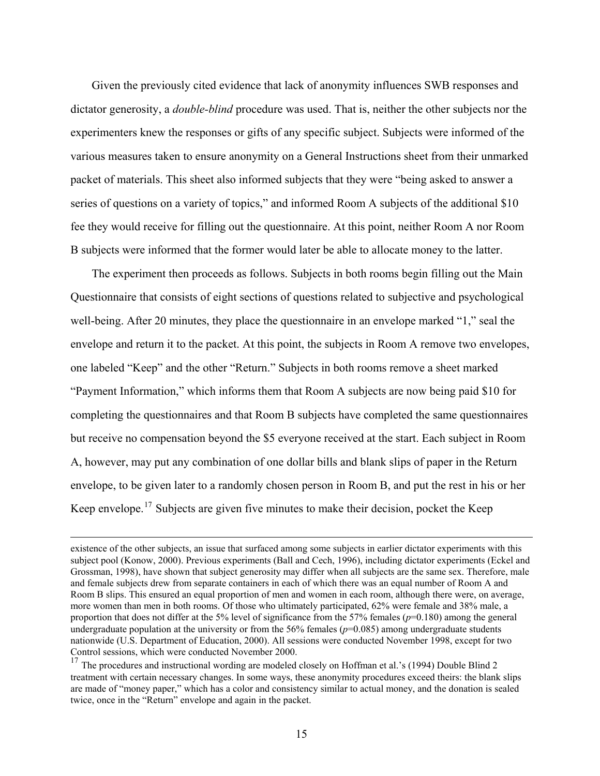<span id="page-15-0"></span>Given the previously cited evidence that lack of anonymity influences SWB responses and dictator generosity, a *double-blind* procedure was used. That is, neither the other subjects nor the experimenters knew the responses or gifts of any specific subject. Subjects were informed of the various measures taken to ensure anonymity on a General Instructions sheet from their unmarked packet of materials. This sheet also informed subjects that they were "being asked to answer a series of questions on a variety of topics," and informed Room A subjects of the additional \$10 fee they would receive for filling out the questionnaire. At this point, neither Room A nor Room B subjects were informed that the former would later be able to allocate money to the latter.

The experiment then proceeds as follows. Subjects in both rooms begin filling out the Main Questionnaire that consists of eight sections of questions related to subjective and psychological well-being. After 20 minutes, they place the questionnaire in an envelope marked "1," seal the envelope and return it to the packet. At this point, the subjects in Room A remove two envelopes, one labeled "Keep" and the other "Return." Subjects in both rooms remove a sheet marked "Payment Information," which informs them that Room A subjects are now being paid \$10 for completing the questionnaires and that Room B subjects have completed the same questionnaires but receive no compensation beyond the \$5 everyone received at the start. Each subject in Room A, however, may put any combination of one dollar bills and blank slips of paper in the Return envelope, to be given later to a randomly chosen person in Room B, and put the rest in his or her Keep envelope.<sup>[17](#page-15-0)</sup> Subjects are given five minutes to make their decision, pocket the Keep

existence of the other subjects, an issue that surfaced among some subjects in earlier dictator experiments with this subject pool (Konow, 2000). Previous experiments (Ball and Cech, 1996), including dictator experiments (Eckel and Grossman, 1998), have shown that subject generosity may differ when all subjects are the same sex. Therefore, male and female subjects drew from separate containers in each of which there was an equal number of Room A and Room B slips. This ensured an equal proportion of men and women in each room, although there were, on average, more women than men in both rooms. Of those who ultimately participated, 62% were female and 38% male, a proportion that does not differ at the 5% level of significance from the 57% females (*p*=0.180) among the general undergraduate population at the university or from the 56% females (*p*=0.085) among undergraduate students nationwide (U.S. Department of Education, 2000). All sessions were conducted November 1998, except for two Control sessions, which were conducted November 2000.

<sup>&</sup>lt;sup>17</sup> The procedures and instructional wording are modeled closely on Hoffman et al.'s (1994) Double Blind 2 treatment with certain necessary changes. In some ways, these anonymity procedures exceed theirs: the blank slips are made of "money paper," which has a color and consistency similar to actual money, and the donation is sealed twice, once in the "Return" envelope and again in the packet.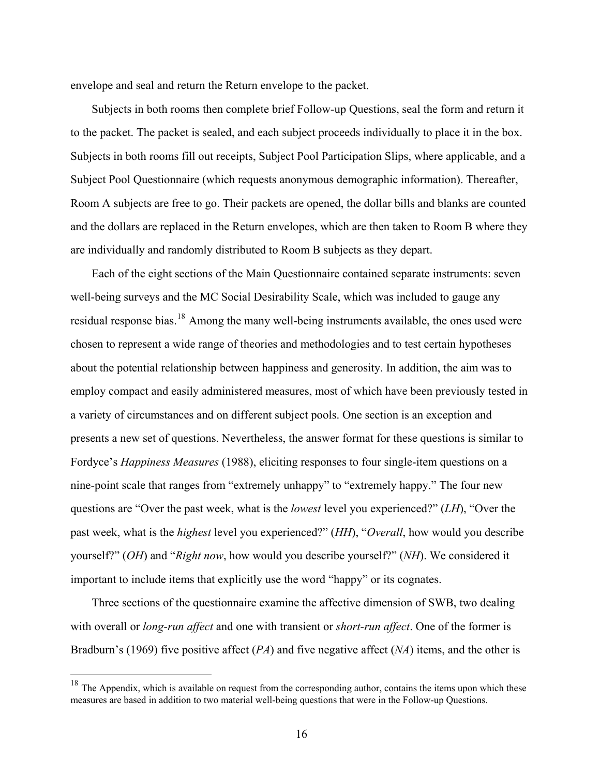<span id="page-16-0"></span>envelope and seal and return the Return envelope to the packet.

Subjects in both rooms then complete brief Follow-up Questions, seal the form and return it to the packet. The packet is sealed, and each subject proceeds individually to place it in the box. Subjects in both rooms fill out receipts, Subject Pool Participation Slips, where applicable, and a Subject Pool Questionnaire (which requests anonymous demographic information). Thereafter, Room A subjects are free to go. Their packets are opened, the dollar bills and blanks are counted and the dollars are replaced in the Return envelopes, which are then taken to Room B where they are individually and randomly distributed to Room B subjects as they depart.

Each of the eight sections of the Main Questionnaire contained separate instruments: seven well-being surveys and the MC Social Desirability Scale, which was included to gauge any residual response bias.<sup>[18](#page-16-0)</sup> Among the many well-being instruments available, the ones used were chosen to represent a wide range of theories and methodologies and to test certain hypotheses about the potential relationship between happiness and generosity. In addition, the aim was to employ compact and easily administered measures, most of which have been previously tested in a variety of circumstances and on different subject pools. One section is an exception and presents a new set of questions. Nevertheless, the answer format for these questions is similar to Fordyce's *Happiness Measures* (1988), eliciting responses to four single-item questions on a nine-point scale that ranges from "extremely unhappy" to "extremely happy." The four new questions are "Over the past week, what is the *lowest* level you experienced?" (*LH*), "Over the past week, what is the *highest* level you experienced?" (*HH*), "*Overall*, how would you describe yourself?" (*OH*) and "*Right now*, how would you describe yourself?" (*NH*). We considered it important to include items that explicitly use the word "happy" or its cognates.

Three sections of the questionnaire examine the affective dimension of SWB, two dealing with overall or *long-run affect* and one with transient or *short-run affect*. One of the former is Bradburn's (1969) five positive affect (*PA*) and five negative affect (*NA*) items, and the other is

 $18$  The Appendix, which is available on request from the corresponding author, contains the items upon which these measures are based in addition to two material well-being questions that were in the Follow-up Questions.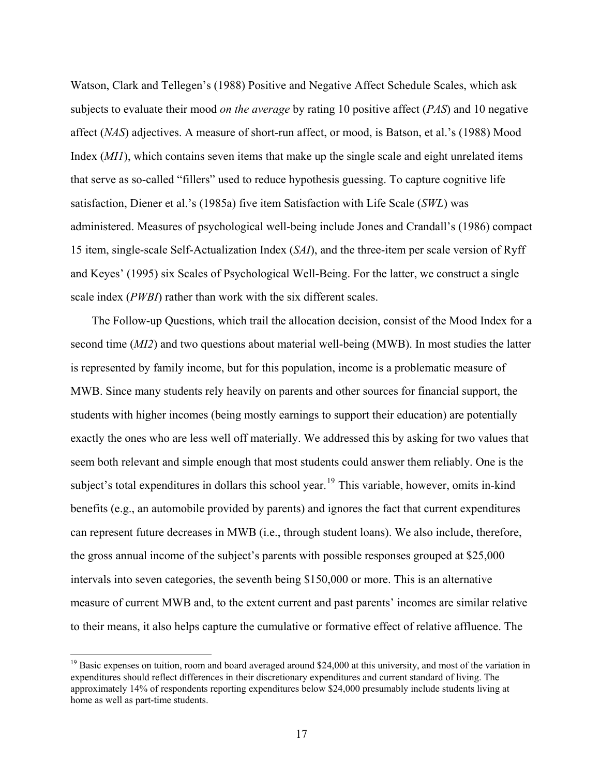<span id="page-17-0"></span>Watson, Clark and Tellegen's (1988) Positive and Negative Affect Schedule Scales, which ask subjects to evaluate their mood *on the average* by rating 10 positive affect (*PAS*) and 10 negative affect (*NAS*) adjectives. A measure of short-run affect, or mood, is Batson, et al.'s (1988) Mood Index (*MI1*), which contains seven items that make up the single scale and eight unrelated items that serve as so-called "fillers" used to reduce hypothesis guessing. To capture cognitive life satisfaction, Diener et al.'s (1985a) five item Satisfaction with Life Scale (*SWL*) was administered. Measures of psychological well-being include Jones and Crandall's (1986) compact 15 item, single-scale Self-Actualization Index (*SAI*), and the three-item per scale version of Ryff and Keyes' (1995) six Scales of Psychological Well-Being. For the latter, we construct a single scale index (*PWBI*) rather than work with the six different scales.

The Follow-up Questions, which trail the allocation decision, consist of the Mood Index for a second time (*MI2*) and two questions about material well-being (MWB). In most studies the latter is represented by family income, but for this population, income is a problematic measure of MWB. Since many students rely heavily on parents and other sources for financial support, the students with higher incomes (being mostly earnings to support their education) are potentially exactly the ones who are less well off materially. We addressed this by asking for two values that seem both relevant and simple enough that most students could answer them reliably. One is the subject's total expenditures in dollars this school year.<sup>[19](#page-17-0)</sup> This variable, however, omits in-kind benefits (e.g., an automobile provided by parents) and ignores the fact that current expenditures can represent future decreases in MWB (i.e., through student loans). We also include, therefore, the gross annual income of the subject's parents with possible responses grouped at \$25,000 intervals into seven categories, the seventh being \$150,000 or more. This is an alternative measure of current MWB and, to the extent current and past parents' incomes are similar relative to their means, it also helps capture the cumulative or formative effect of relative affluence. The

 $19$  Basic expenses on tuition, room and board averaged around \$24,000 at this university, and most of the variation in expenditures should reflect differences in their discretionary expenditures and current standard of living. The approximately 14% of respondents reporting expenditures below \$24,000 presumably include students living at home as well as part-time students.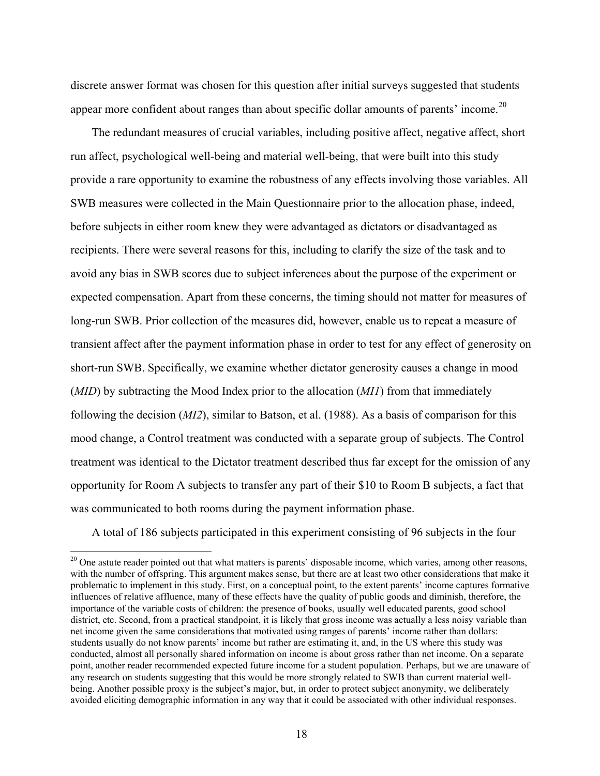<span id="page-18-0"></span>discrete answer format was chosen for this question after initial surveys suggested that students appear more confident about ranges than about specific dollar amounts of parents' income.<sup>[20](#page-18-0)</sup>

The redundant measures of crucial variables, including positive affect, negative affect, short run affect, psychological well-being and material well-being, that were built into this study provide a rare opportunity to examine the robustness of any effects involving those variables. All SWB measures were collected in the Main Questionnaire prior to the allocation phase, indeed, before subjects in either room knew they were advantaged as dictators or disadvantaged as recipients. There were several reasons for this, including to clarify the size of the task and to avoid any bias in SWB scores due to subject inferences about the purpose of the experiment or expected compensation. Apart from these concerns, the timing should not matter for measures of long-run SWB. Prior collection of the measures did, however, enable us to repeat a measure of transient affect after the payment information phase in order to test for any effect of generosity on short-run SWB. Specifically, we examine whether dictator generosity causes a change in mood (*MID*) by subtracting the Mood Index prior to the allocation (*MI1*) from that immediately following the decision (*MI2*), similar to Batson, et al. (1988). As a basis of comparison for this mood change, a Control treatment was conducted with a separate group of subjects. The Control treatment was identical to the Dictator treatment described thus far except for the omission of any opportunity for Room A subjects to transfer any part of their \$10 to Room B subjects, a fact that was communicated to both rooms during the payment information phase.

A total of 186 subjects participated in this experiment consisting of 96 subjects in the four

 $20$  One astute reader pointed out that what matters is parents' disposable income, which varies, among other reasons, with the number of offspring. This argument makes sense, but there are at least two other considerations that make it problematic to implement in this study. First, on a conceptual point, to the extent parents' income captures formative influences of relative affluence, many of these effects have the quality of public goods and diminish, therefore, the importance of the variable costs of children: the presence of books, usually well educated parents, good school district, etc. Second, from a practical standpoint, it is likely that gross income was actually a less noisy variable than net income given the same considerations that motivated using ranges of parents' income rather than dollars: students usually do not know parents' income but rather are estimating it, and, in the US where this study was conducted, almost all personally shared information on income is about gross rather than net income. On a separate point, another reader recommended expected future income for a student population. Perhaps, but we are unaware of any research on students suggesting that this would be more strongly related to SWB than current material wellbeing. Another possible proxy is the subject's major, but, in order to protect subject anonymity, we deliberately avoided eliciting demographic information in any way that it could be associated with other individual responses.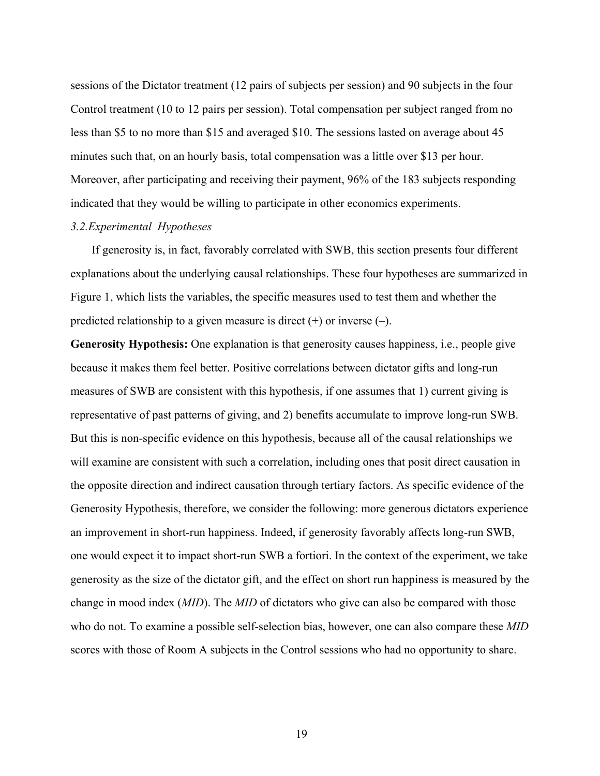sessions of the Dictator treatment (12 pairs of subjects per session) and 90 subjects in the four Control treatment (10 to 12 pairs per session). Total compensation per subject ranged from no less than \$5 to no more than \$15 and averaged \$10. The sessions lasted on average about 45 minutes such that, on an hourly basis, total compensation was a little over \$13 per hour. Moreover, after participating and receiving their payment, 96% of the 183 subjects responding indicated that they would be willing to participate in other economics experiments.

## *3.2.Experimental Hypotheses*

If generosity is, in fact, favorably correlated with SWB, this section presents four different explanations about the underlying causal relationships. These four hypotheses are summarized in Figure 1, which lists the variables, the specific measures used to test them and whether the predicted relationship to a given measure is direct  $(+)$  or inverse  $(-)$ .

**Generosity Hypothesis:** One explanation is that generosity causes happiness, i.e., people give because it makes them feel better. Positive correlations between dictator gifts and long-run measures of SWB are consistent with this hypothesis, if one assumes that 1) current giving is representative of past patterns of giving, and 2) benefits accumulate to improve long-run SWB. But this is non-specific evidence on this hypothesis, because all of the causal relationships we will examine are consistent with such a correlation, including ones that posit direct causation in the opposite direction and indirect causation through tertiary factors. As specific evidence of the Generosity Hypothesis, therefore, we consider the following: more generous dictators experience an improvement in short-run happiness. Indeed, if generosity favorably affects long-run SWB, one would expect it to impact short-run SWB a fortiori. In the context of the experiment, we take generosity as the size of the dictator gift, and the effect on short run happiness is measured by the change in mood index (*MID*). The *MID* of dictators who give can also be compared with those who do not. To examine a possible self-selection bias, however, one can also compare these *MID* scores with those of Room A subjects in the Control sessions who had no opportunity to share.

19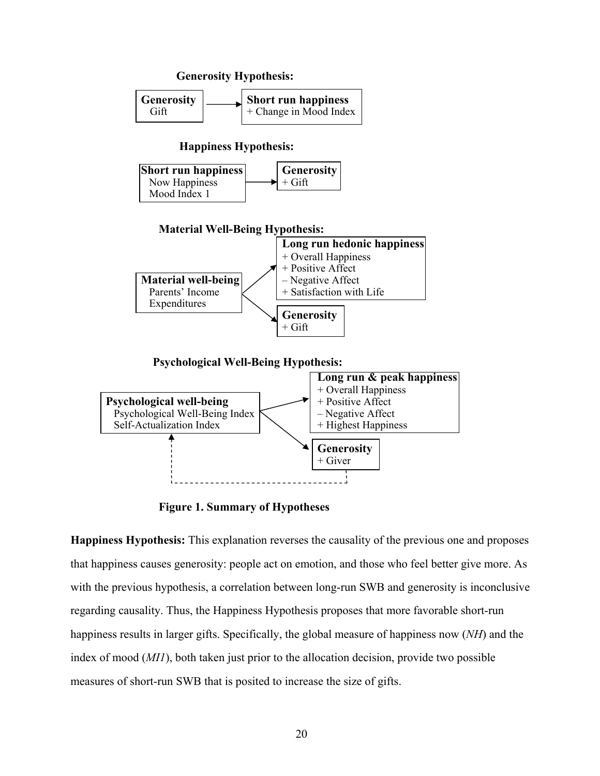

**Figure 1. Summary of Hypotheses** 

**Happiness Hypothesis:** This explanation reverses the causality of the previous one and proposes that happiness causes generosity: people act on emotion, and those who feel better give more. As with the previous hypothesis, a correlation between long-run SWB and generosity is inconclusive regarding causality. Thus, the Happiness Hypothesis proposes that more favorable short-run happiness results in larger gifts. Specifically, the global measure of happiness now (*NH*) and the index of mood (*MI1*), both taken just prior to the allocation decision, provide two possible measures of short-run SWB that is posited to increase the size of gifts.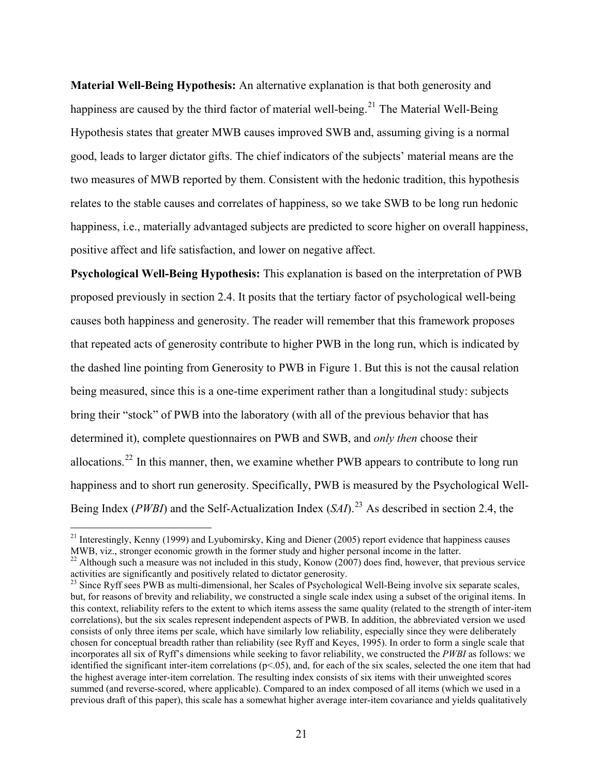<span id="page-21-0"></span>**Material Well-Being Hypothesis:** An alternative explanation is that both generosity and happiness are caused by the third factor of material well-being.<sup>[21](#page-21-0)</sup> The Material Well-Being Hypothesis states that greater MWB causes improved SWB and, assuming giving is a normal good, leads to larger dictator gifts. The chief indicators of the subjects' material means are the two measures of MWB reported by them. Consistent with the hedonic tradition, this hypothesis relates to the stable causes and correlates of happiness, so we take SWB to be long run hedonic happiness, i.e., materially advantaged subjects are predicted to score higher on overall happiness, positive affect and life satisfaction, and lower on negative affect.

**Psychological Well-Being Hypothesis:** This explanation is based on the interpretation of PWB proposed previously in section 2.4. It posits that the tertiary factor of psychological well-being causes both happiness and generosity. The reader will remember that this framework proposes that repeated acts of generosity contribute to higher PWB in the long run, which is indicated by the dashed line pointing from Generosity to PWB in Figure 1. But this is not the causal relation being measured, since this is a one-time experiment rather than a longitudinal study: subjects bring their "stock" of PWB into the laboratory (with all of the previous behavior that has determined it), complete questionnaires on PWB and SWB, and *only then* choose their allocations.<sup>[22](#page-21-0)</sup> In this manner, then, we examine whether PWB appears to contribute to long run happiness and to short run generosity. Specifically, PWB is measured by the Psychological Well-Being Index (*PWBI*) and the Self-Actualization Index (*SAI*).[23](#page-21-0) As described in section 2.4, the

<sup>&</sup>lt;sup>21</sup> Interestingly, Kenny (1999) and Lyubomirsky, King and Diener (2005) report evidence that happiness causes MWB, viz., stronger economic growth in the former study and higher personal income in the latter.

 $^{22}$  Although such a measure was not included in this study, Konow (2007) does find, however, that previous service activities are significantly and positively related to dictator generosity.

<sup>&</sup>lt;sup>23</sup> Since Ryff sees PWB as multi-dimensional, her Scales of Psychological Well-Being involve six separate scales, but, for reasons of brevity and reliability, we constructed a single scale index using a subset of the original items. In this context, reliability refers to the extent to which items assess the same quality (related to the strength of inter-item correlations), but the six scales represent independent aspects of PWB. In addition, the abbreviated version we used consists of only three items per scale, which have similarly low reliability, especially since they were deliberately chosen for conceptual breadth rather than reliability (see Ryff and Keyes, 1995). In order to form a single scale that incorporates all six of Ryff's dimensions while seeking to favor reliability, we constructed the *PWBI* as follows: we identified the significant inter-item correlations  $(p<0.05)$ , and, for each of the six scales, selected the one item that had the highest average inter-item correlation. The resulting index consists of six items with their unweighted scores summed (and reverse-scored, where applicable). Compared to an index composed of all items (which we used in a previous draft of this paper), this scale has a somewhat higher average inter-item covariance and yields qualitatively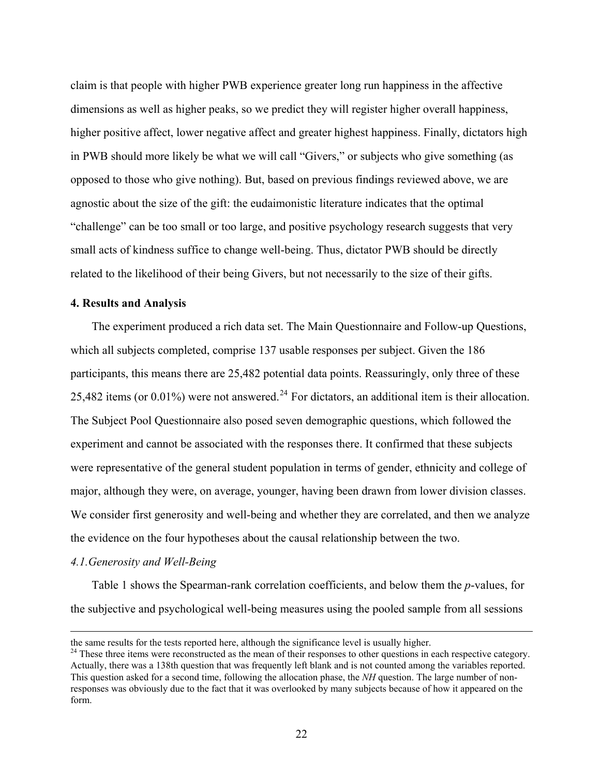<span id="page-22-0"></span>claim is that people with higher PWB experience greater long run happiness in the affective dimensions as well as higher peaks, so we predict they will register higher overall happiness, higher positive affect, lower negative affect and greater highest happiness. Finally, dictators high in PWB should more likely be what we will call "Givers," or subjects who give something (as opposed to those who give nothing). But, based on previous findings reviewed above, we are agnostic about the size of the gift: the eudaimonistic literature indicates that the optimal "challenge" can be too small or too large, and positive psychology research suggests that very small acts of kindness suffice to change well-being. Thus, dictator PWB should be directly related to the likelihood of their being Givers, but not necessarily to the size of their gifts.

#### **4. Results and Analysis**

The experiment produced a rich data set. The Main Questionnaire and Follow-up Questions, which all subjects completed, comprise 137 usable responses per subject. Given the 186 participants, this means there are 25,482 potential data points. Reassuringly, only three of these 25,482 items (or  $0.01\%$ ) were not answered.<sup>[24](#page-22-0)</sup> For dictators, an additional item is their allocation. The Subject Pool Questionnaire also posed seven demographic questions, which followed the experiment and cannot be associated with the responses there. It confirmed that these subjects were representative of the general student population in terms of gender, ethnicity and college of major, although they were, on average, younger, having been drawn from lower division classes. We consider first generosity and well-being and whether they are correlated, and then we analyze the evidence on the four hypotheses about the causal relationship between the two.

#### *4.1.Generosity and Well-Being*

 $\overline{a}$ 

Table 1 shows the Spearman-rank correlation coefficients, and below them the *p*-values, for the subjective and psychological well-being measures using the pooled sample from all sessions

the same results for the tests reported here, although the significance level is usually higher.

<sup>&</sup>lt;sup>24</sup> These three items were reconstructed as the mean of their responses to other questions in each respective category. Actually, there was a 138th question that was frequently left blank and is not counted among the variables reported. This question asked for a second time, following the allocation phase, the *NH* question. The large number of nonresponses was obviously due to the fact that it was overlooked by many subjects because of how it appeared on the form.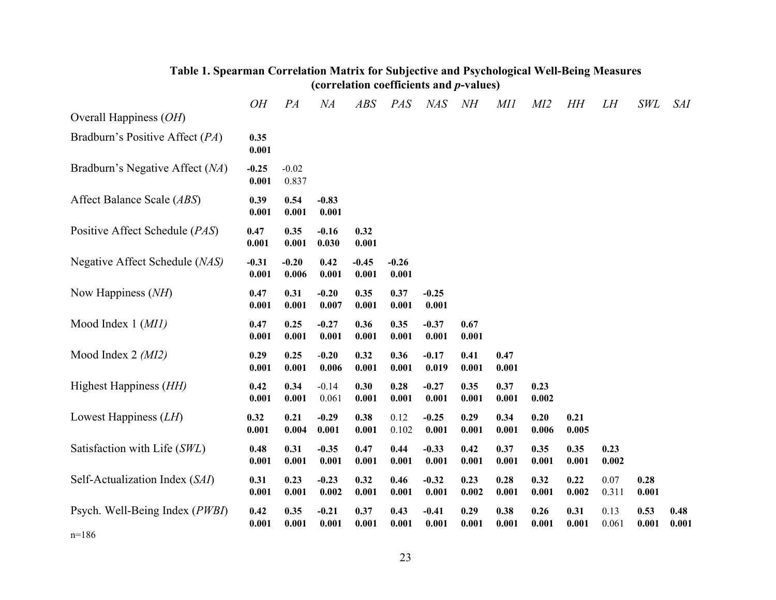|                                         | OН               | PA               | NА               | ABS              | <b>PAS</b>       | NAS              | NН            | МH            | MI2           | HН            | LH            | <i>SWL</i>    | SAI           |
|-----------------------------------------|------------------|------------------|------------------|------------------|------------------|------------------|---------------|---------------|---------------|---------------|---------------|---------------|---------------|
| Overall Happiness (OH)                  |                  |                  |                  |                  |                  |                  |               |               |               |               |               |               |               |
| Bradburn's Positive Affect (PA)         | 0.35<br>0.001    |                  |                  |                  |                  |                  |               |               |               |               |               |               |               |
| Bradburn's Negative Affect (NA)         | $-0.25$<br>0.001 | $-0.02$<br>0.837 |                  |                  |                  |                  |               |               |               |               |               |               |               |
| Affect Balance Scale (ABS)              | 0.39<br>0.001    | 0.54<br>0.001    | $-0.83$<br>0.001 |                  |                  |                  |               |               |               |               |               |               |               |
| Positive Affect Schedule (PAS)          | 0.47<br>0.001    | 0.35<br>0.001    | $-0.16$<br>0.030 | 0.32<br>0.001    |                  |                  |               |               |               |               |               |               |               |
| Negative Affect Schedule (NAS)          | $-0.31$<br>0.001 | $-0.20$<br>0.006 | 0.42<br>0.001    | $-0.45$<br>0.001 | $-0.26$<br>0.001 |                  |               |               |               |               |               |               |               |
| Now Happiness (NH)                      | 0.47<br>0.001    | 0.31<br>0.001    | $-0.20$<br>0.007 | 0.35<br>0.001    | 0.37<br>0.001    | $-0.25$<br>0.001 |               |               |               |               |               |               |               |
| Mood Index 1 ( <i>MI1</i> )             | 0.47<br>0.001    | 0.25<br>0.001    | $-0.27$<br>0.001 | 0.36<br>0.001    | 0.35<br>0.001    | $-0.37$<br>0.001 | 0.67<br>0.001 |               |               |               |               |               |               |
| Mood Index $2 \,(M12)$                  | 0.29<br>0.001    | 0.25<br>0.001    | $-0.20$<br>0.006 | 0.32<br>0.001    | 0.36<br>0.001    | $-0.17$<br>0.019 | 0.41<br>0.001 | 0.47<br>0.001 |               |               |               |               |               |
| Highest Happiness (HH)                  | 0.42<br>0.001    | 0.34<br>0.001    | $-0.14$<br>0.061 | 0.30<br>0.001    | 0.28<br>0.001    | $-0.27$<br>0.001 | 0.35<br>0.001 | 0.37<br>0.001 | 0.23<br>0.002 |               |               |               |               |
| Lowest Happiness $(LH)$                 | 0.32<br>0.001    | 0.21<br>0.004    | $-0.29$<br>0.001 | 0.38<br>0.001    | 0.12<br>0.102    | $-0.25$<br>0.001 | 0.29<br>0.001 | 0.34<br>0.001 | 0.20<br>0.006 | 0.21<br>0.005 |               |               |               |
| Satisfaction with Life (SWL)            | 0.48<br>0.001    | 0.31<br>0.001    | $-0.35$<br>0.001 | 0.47<br>0.001    | 0.44<br>0.001    | $-0.33$<br>0.001 | 0.42<br>0.001 | 0.37<br>0.001 | 0.35<br>0.001 | 0.35<br>0.001 | 0.23<br>0.002 |               |               |
| Self-Actualization Index (SAI)          | 0.31<br>0.001    | 0.23<br>0.001    | $-0.23$<br>0.002 | 0.32<br>0.001    | 0.46<br>0.001    | $-0.32$<br>0.001 | 0.23<br>0.002 | 0.28<br>0.001 | 0.32<br>0.001 | 0.22<br>0.002 | 0.07<br>0.311 | 0.28<br>0.001 |               |
| Psych. Well-Being Index ( <i>PWBI</i> ) | 0.42<br>0.001    | 0.35<br>0.001    | $-0.21$<br>0.001 | 0.37<br>0.001    | 0.43<br>0.001    | $-0.41$<br>0.001 | 0.29<br>0.001 | 0.38<br>0.001 | 0.26<br>0.001 | 0.31<br>0.001 | 0.13<br>0.061 | 0.53<br>0.001 | 0.48<br>0.001 |
| $n=186$                                 |                  |                  |                  |                  |                  |                  |               |               |               |               |               |               |               |

## **Table 1. Spearman Correlation Matrix for Subjective and Psychological Well-Being Measures (correlation coefficients and**  *p***-values)**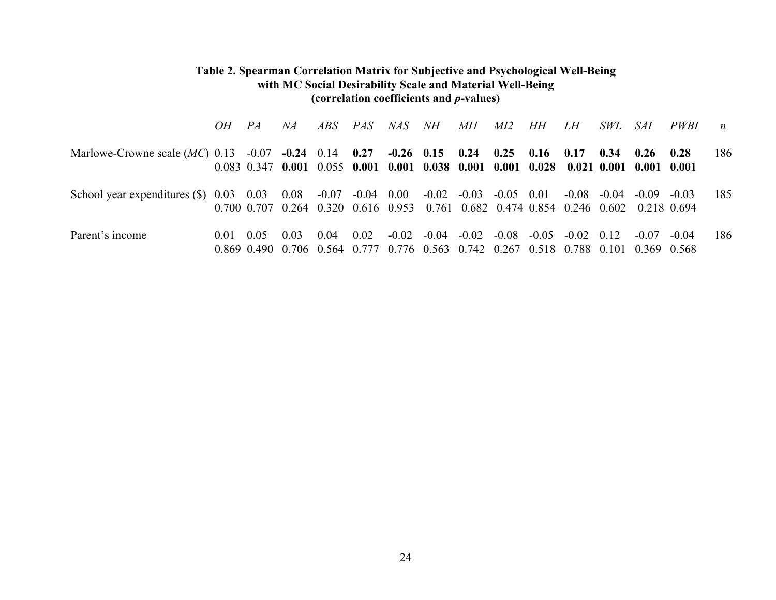| Table 2. Spearman Correlation Matrix for Subjective and Psychological Well-Being<br>with MC Social Desirability Scale and Material Well-Being<br>(correlation coefficients and <i>p</i> -values) |      |             |                                        |         |              |         |                   |               |              |         |                                                                                    |         |                         |             |     |
|--------------------------------------------------------------------------------------------------------------------------------------------------------------------------------------------------|------|-------------|----------------------------------------|---------|--------------|---------|-------------------|---------------|--------------|---------|------------------------------------------------------------------------------------|---------|-------------------------|-------------|-----|
|                                                                                                                                                                                                  | OH.  | PA          | N A                                    | ABS.    | PAS.         | NAS     | NН                | MH            | MI2          | HН      | LH                                                                                 | SWL.    | <i>SAI</i>              | <i>PWBI</i> | n   |
| Marlowe-Crowne scale ( <i>MC</i> ) 0.13                                                                                                                                                          |      | 0.083 0.347 | $-0.07$ $-0.24$ $0.14$ $0.27$<br>0.001 |         |              |         | $-0.26$ 0.15 0.24 |               | 0.25         | 0.16    | 0.17<br>$0.055$ 0.001 0.001 0.038 0.001 0.001 0.028 0.021 0.001                    | 0.34    | 0.26<br>$0.001$ $0.001$ | 0.28        | 186 |
| School year expenditures $(\$)$ 0.03 0.03                                                                                                                                                        |      | 0.700 0.707 | 0.08<br>0.264 0.320 0.616 0.953        | $-0.07$ | $-0.04$ 0.00 |         |                   | $-0.02 -0.03$ | $-0.05$ 0.01 |         | $-0.08$<br>0.761 0.682 0.474 0.854 0.246 0.602                                     | $-0.04$ | $-0.09$<br>0 218 0 694  | $-0.03$     | 185 |
| Parent's income                                                                                                                                                                                  | 0.01 | 0.05        | 0.03                                   | 0.04    | 0.02         | $-0.02$ | $-0.04$           | $-0.02$       | -0.08        | $-0.05$ | $-0.02$<br>0.869 0.490 0.706 0.564 0.777 0.776 0.563 0.742 0.267 0.518 0.788 0.101 | 0.12    | $-0.07$<br>0.369 0.568  | $-0.04$     | 186 |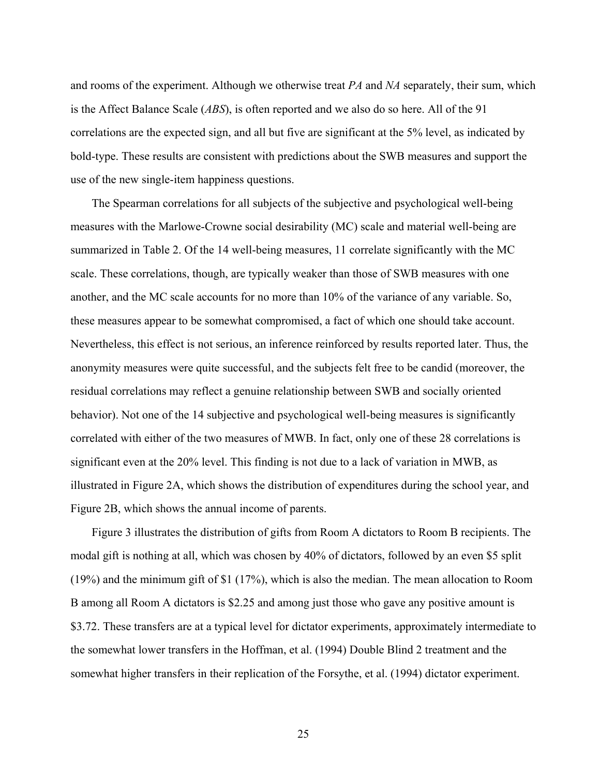and rooms of the experiment. Although we otherwise treat *PA* and *NA* separately, their sum, which is the Affect Balance Scale (*ABS*), is often reported and we also do so here. All of the 91 correlations are the expected sign, and all but five are significant at the 5% level, as indicated by bold-type. These results are consistent with predictions about the SWB measures and support the use of the new single-item happiness questions.

The Spearman correlations for all subjects of the subjective and psychological well-being measures with the Marlowe-Crowne social desirability (MC) scale and material well-being are summarized in Table 2. Of the 14 well-being measures, 11 correlate significantly with the MC scale. These correlations, though, are typically weaker than those of SWB measures with one another, and the MC scale accounts for no more than 10% of the variance of any variable. So, these measures appear to be somewhat compromised, a fact of which one should take account. Nevertheless, this effect is not serious, an inference reinforced by results reported later. Thus, the anonymity measures were quite successful, and the subjects felt free to be candid (moreover, the residual correlations may reflect a genuine relationship between SWB and socially oriented behavior). Not one of the 14 subjective and psychological well-being measures is significantly correlated with either of the two measures of MWB. In fact, only one of these 28 correlations is significant even at the 20% level. This finding is not due to a lack of variation in MWB, as illustrated in Figure 2A, which shows the distribution of expenditures during the school year, and Figure 2B, which shows the annual income of parents.

Figure 3 illustrates the distribution of gifts from Room A dictators to Room B recipients. The modal gift is nothing at all, which was chosen by 40% of dictators, followed by an even \$5 split (19%) and the minimum gift of \$1 (17%), which is also the median. The mean allocation to Room B among all Room A dictators is \$2.25 and among just those who gave any positive amount is \$3.72. These transfers are at a typical level for dictator experiments, approximately intermediate to the somewhat lower transfers in the Hoffman, et al. (1994) Double Blind 2 treatment and the somewhat higher transfers in their replication of the Forsythe, et al. (1994) dictator experiment.

25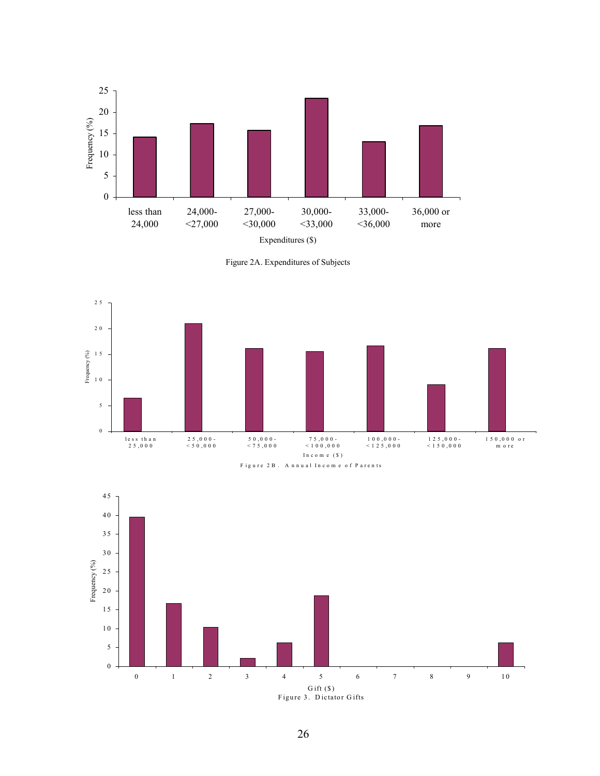

Figure 2A. Expenditures of Subjects



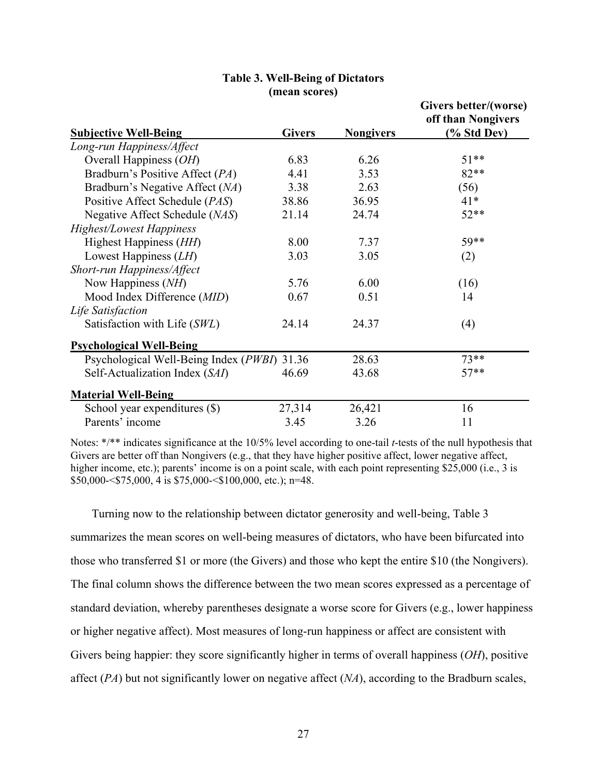| <b>Subjective Well-Being</b>                         | <b>Givers</b> | <b>Nongivers</b> | Givers better/(worse)<br>off than Nongivers<br>$%$ Std Dev) |
|------------------------------------------------------|---------------|------------------|-------------------------------------------------------------|
| Long-run Happiness/Affect                            |               |                  |                                                             |
| Overall Happiness (OH)                               | 6.83          | 6.26             | $51**$                                                      |
| Bradburn's Positive Affect (PA)                      | 4.41          | 3.53             | 82**                                                        |
| Bradburn's Negative Affect (NA)                      | 3.38          | 2.63             | (56)                                                        |
| Positive Affect Schedule ( <i>PAS</i> )              | 38.86         | 36.95            | $41*$                                                       |
| Negative Affect Schedule (NAS)                       | 21.14         | 24.74            | $52**$                                                      |
| <b>Highest/Lowest Happiness</b>                      |               |                  |                                                             |
| Highest Happiness (HH)                               | 8.00          | 7.37             | 59**                                                        |
| Lowest Happiness $(LH)$                              | 3.03          | 3.05             | (2)                                                         |
| Short-run Happiness/Affect                           |               |                  |                                                             |
| Now Happiness (NH)                                   | 5.76          | 6.00             | (16)                                                        |
| Mood Index Difference (MID)                          | 0.67          | 0.51             | 14                                                          |
| Life Satisfaction                                    |               |                  |                                                             |
| Satisfaction with Life (SWL)                         | 24.14         | 24.37            | (4)                                                         |
| <b>Psychological Well-Being</b>                      |               |                  |                                                             |
| Psychological Well-Being Index ( <i>PWBI</i> ) 31.36 |               | 28.63            | $73**$                                                      |
| Self-Actualization Index (SAI)                       | 46.69         | 43.68            | $57**$                                                      |
| <b>Material Well-Being</b>                           |               |                  |                                                             |
| School year expenditures (\$)                        | 27,314        | 26,421           | 16                                                          |
| Parents' income                                      | 3.45          | 3.26             | 11                                                          |

## **Table 3. Well-Being of Dictators (mean scores)**

Notes: \*/\*\* indicates significance at the 10/5% level according to one-tail *t*-tests of the null hypothesis that Givers are better off than Nongivers (e.g., that they have higher positive affect, lower negative affect, higher income, etc.); parents' income is on a point scale, with each point representing \$25,000 (i.e., 3 is \$50,000-<\$75,000, 4 is \$75,000-<\$100,000, etc.); n=48.

Turning now to the relationship between dictator generosity and well-being, Table 3 summarizes the mean scores on well-being measures of dictators, who have been bifurcated into those who transferred \$1 or more (the Givers) and those who kept the entire \$10 (the Nongivers). The final column shows the difference between the two mean scores expressed as a percentage of standard deviation, whereby parentheses designate a worse score for Givers (e.g., lower happiness or higher negative affect). Most measures of long-run happiness or affect are consistent with Givers being happier: they score significantly higher in terms of overall happiness (*OH*), positive affect (*PA*) but not significantly lower on negative affect (*NA*), according to the Bradburn scales,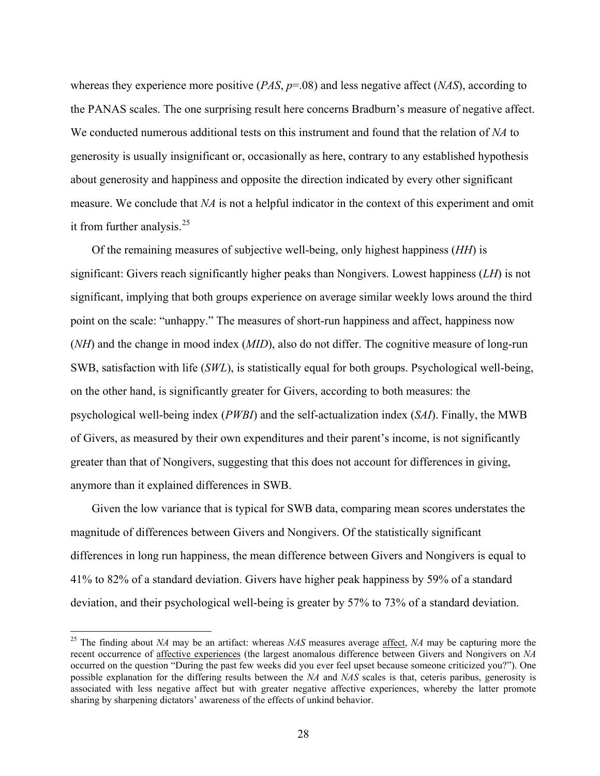<span id="page-28-0"></span>whereas they experience more positive (*PAS*, *p*=.08) and less negative affect (*NAS*), according to the PANAS scales. The one surprising result here concerns Bradburn's measure of negative affect. We conducted numerous additional tests on this instrument and found that the relation of *NA* to generosity is usually insignificant or, occasionally as here, contrary to any established hypothesis about generosity and happiness and opposite the direction indicated by every other significant measure. We conclude that *NA* is not a helpful indicator in the context of this experiment and omit it from further analysis. $25$ 

Of the remaining measures of subjective well-being, only highest happiness (*HH*) is significant: Givers reach significantly higher peaks than Nongivers. Lowest happiness (*LH*) is not significant, implying that both groups experience on average similar weekly lows around the third point on the scale: "unhappy." The measures of short-run happiness and affect, happiness now (*NH*) and the change in mood index (*MID*), also do not differ. The cognitive measure of long-run SWB, satisfaction with life (*SWL*), is statistically equal for both groups. Psychological well-being, on the other hand, is significantly greater for Givers, according to both measures: the psychological well-being index (*PWBI*) and the self-actualization index (*SAI*). Finally, the MWB of Givers, as measured by their own expenditures and their parent's income, is not significantly greater than that of Nongivers, suggesting that this does not account for differences in giving, anymore than it explained differences in SWB.

Given the low variance that is typical for SWB data, comparing mean scores understates the magnitude of differences between Givers and Nongivers. Of the statistically significant differences in long run happiness, the mean difference between Givers and Nongivers is equal to 41% to 82% of a standard deviation. Givers have higher peak happiness by 59% of a standard deviation, and their psychological well-being is greater by 57% to 73% of a standard deviation.

<sup>25</sup> The finding about *NA* may be an artifact: whereas *NAS* measures average affect, *NA* may be capturing more the recent occurrence of affective experiences (the largest anomalous difference between Givers and Nongivers on *NA* occurred on the question "During the past few weeks did you ever feel upset because someone criticized you?"). One possible explanation for the differing results between the *NA* and *NAS* scales is that, ceteris paribus, generosity is associated with less negative affect but with greater negative affective experiences, whereby the latter promote sharing by sharpening dictators' awareness of the effects of unkind behavior.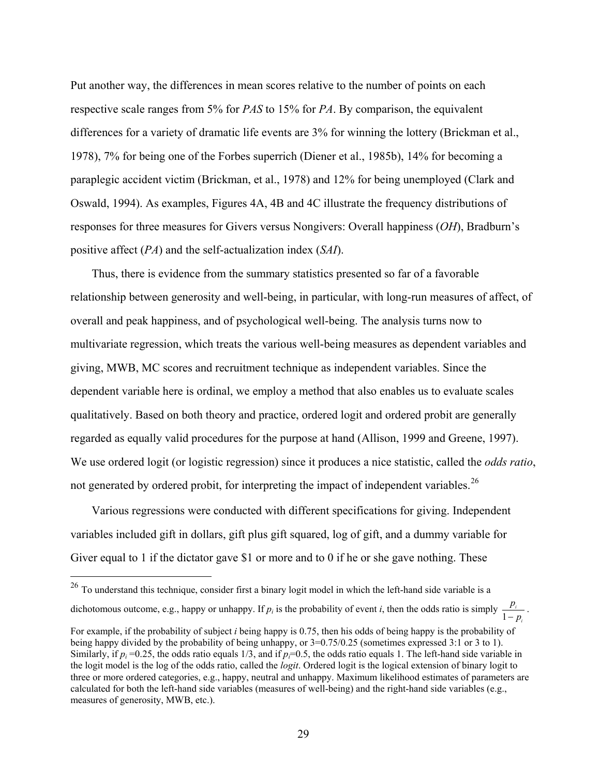<span id="page-29-0"></span>Put another way, the differences in mean scores relative to the number of points on each respective scale ranges from 5% for *PAS* to 15% for *PA*. By comparison, the equivalent differences for a variety of dramatic life events are 3% for winning the lottery (Brickman et al., 1978), 7% for being one of the Forbes superrich (Diener et al., 1985b), 14% for becoming a paraplegic accident victim (Brickman, et al., 1978) and 12% for being unemployed (Clark and Oswald, 1994). As examples, Figures 4A, 4B and 4C illustrate the frequency distributions of responses for three measures for Givers versus Nongivers: Overall happiness (*OH*), Bradburn's positive affect (*PA*) and the self-actualization index (*SAI*).

Thus, there is evidence from the summary statistics presented so far of a favorable relationship between generosity and well-being, in particular, with long-run measures of affect, of overall and peak happiness, and of psychological well-being. The analysis turns now to multivariate regression, which treats the various well-being measures as dependent variables and giving, MWB, MC scores and recruitment technique as independent variables. Since the dependent variable here is ordinal, we employ a method that also enables us to evaluate scales qualitatively. Based on both theory and practice, ordered logit and ordered probit are generally regarded as equally valid procedures for the purpose at hand (Allison, 1999 and Greene, 1997). We use ordered logit (or logistic regression) since it produces a nice statistic, called the *odds ratio*, not generated by ordered probit, for interpreting the impact of independent variables.<sup>[26](#page-29-0)</sup>

Various regressions were conducted with different specifications for giving. Independent variables included gift in dollars, gift plus gift squared, log of gift, and a dummy variable for Giver equal to 1 if the dictator gave \$1 or more and to 0 if he or she gave nothing. These

 $\overline{a}$ 

*i p*

 $26$  To understand this technique, consider first a binary logit model in which the left-hand side variable is a dichotomous outcome, e.g., happy or unhappy. If  $p_i$  is the probability of event  $i$ , then the odds ratio is simply  $\frac{p_i}{1-p_i}$ .

*i* For example, if the probability of subject *i* being happy is 0.75, then his odds of being happy is the probability of being happy divided by the probability of being unhappy, or 3=0.75/0.25 (sometimes expressed 3:1 or 3 to 1). Similarly, if  $p_i = 0.25$ , the odds ratio equals 1/3, and if  $p_i = 0.5$ , the odds ratio equals 1. The left-hand side variable in the logit model is the log of the odds ratio, called the *logit*. Ordered logit is the logical extension of binary logit to three or more ordered categories, e.g., happy, neutral and unhappy. Maximum likelihood estimates of parameters are calculated for both the left-hand side variables (measures of well-being) and the right-hand side variables (e.g., measures of generosity, MWB, etc.).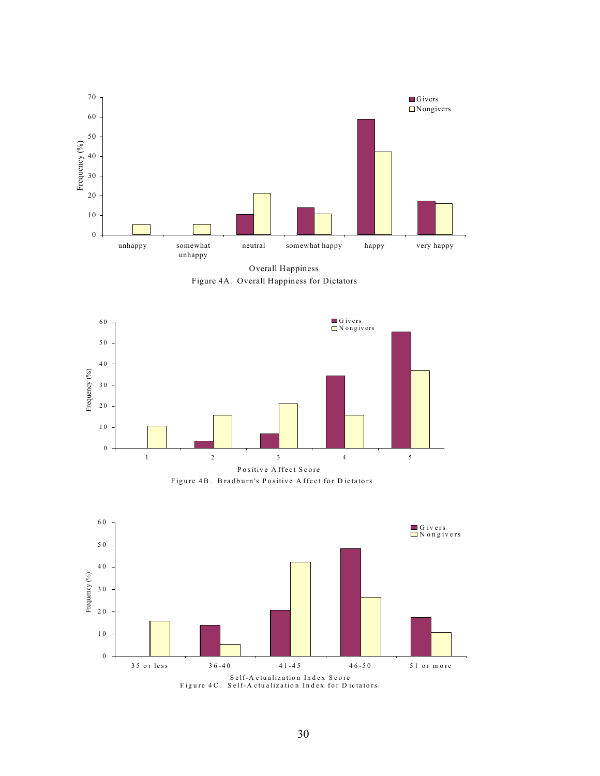

Figure 4A. Overall Happiness for Dictators Overall Happiness



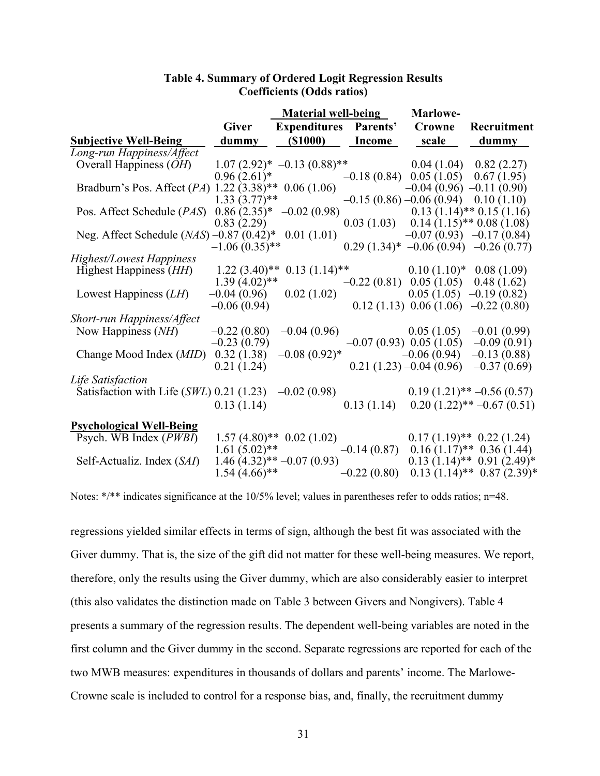|                                                                                     |                  |                                                                                                  | <b>Material well-being Marlowe-</b> |                                                 |                                           |
|-------------------------------------------------------------------------------------|------------------|--------------------------------------------------------------------------------------------------|-------------------------------------|-------------------------------------------------|-------------------------------------------|
|                                                                                     |                  | Giver Expenditures Parents' Crowne                                                               |                                     |                                                 | Recruitment                               |
| <u>Subjective Well-Being Land Land Book</u>                                         |                  | dummy (\$1000) Income scale dummy                                                                |                                     |                                                 |                                           |
| Long-run Happiness/Affect                                                           |                  |                                                                                                  |                                     |                                                 |                                           |
| Overall Happiness $(OH)$                                                            |                  | $1.07 (2.92)^* -0.13 (0.88)^{**}$ 0.04 (1.04) 0.82 (2.27)                                        |                                     |                                                 |                                           |
|                                                                                     |                  | $0.96(2.61)^*$                                                                                   |                                     | $-0.18(0.84)$ 0.05 $(1.05)$ 0.67 $(1.95)$       |                                           |
| Bradburn's Pos. Affect $(PA)$ 1.22 $(3.38)$ <sup>**</sup> 0.06 $(1.06)$             |                  |                                                                                                  |                                     | $-0.04(0.96) -0.11(0.90)$                       |                                           |
|                                                                                     | $1.33(3.77)$ **  |                                                                                                  |                                     | $-0.15(0.86) -0.06(0.94)$ 0.10 (1.10)           |                                           |
| Pos. Affect Schedule $(PAS)$ 0.86 $(2.35)*$ -0.02 (0.98)                            |                  |                                                                                                  |                                     | $0.13(1.14)$ ** $0.15(1.16)$                    |                                           |
|                                                                                     | 0.83(2.29)       |                                                                                                  |                                     | $(1.03)$ $(1.03)$ $(1.15)$ ** $(0.08)$ $(1.08)$ |                                           |
| Neg. Affect Schedule $(NAS)$ –0.87 $(0.42)^*$ 0.01 $(1.01)$                         |                  |                                                                                                  |                                     | $-0.07(0.93)$ $-0.17(0.84)$                     |                                           |
|                                                                                     | $-1.06(0.35)$ ** |                                                                                                  |                                     | $0.29(1.34)^* -0.06(0.94) -0.26(0.77)$          |                                           |
| Highest/Lowest Happiness                                                            |                  |                                                                                                  |                                     |                                                 |                                           |
| Highest Happiness ( <i>HH</i> )                                                     |                  | $1.22 (3.40)$ <sup>**</sup> $0.13 (1.14)$ <sup>**</sup> $0.10 (1.10)$ <sup>*</sup> $0.08 (1.09)$ |                                     |                                                 |                                           |
|                                                                                     |                  | $1.39(4.02)$ **                                                                                  |                                     | $-0.22(0.81)$ 0.05 $(1.05)$ 0.48 $(1.62)$       |                                           |
| Lowest Happiness $(LH)$                                                             |                  | $-0.04(0.96)$ $0.02(1.02)$ $0.05(1.05)$ $-0.19(0.82)$                                            |                                     |                                                 |                                           |
|                                                                                     | $-0.06(0.94)$    |                                                                                                  |                                     | $0.12(1.13)$ $0.06(1.06)$ $-0.22(0.80)$         |                                           |
| Short-run Happiness/Affect                                                          |                  |                                                                                                  |                                     |                                                 |                                           |
| Now Happiness (NH)                                                                  | $-0.22(0.80)$    |                                                                                                  |                                     | $-0.04(0.96)$ $0.05(1.05)$ $-0.01(0.99)$        |                                           |
|                                                                                     |                  |                                                                                                  |                                     | $-0.07(0.93)$ 0.05 $(1.05)$ $-0.09(0.91)$       |                                           |
| $-0.23(0.79)$<br>-0.07 (0.93) 0.05 (1.05) -0.09 (0.91)<br>-0.06 (0.94) -0.13 (0.88) |                  |                                                                                                  |                                     |                                                 |                                           |
|                                                                                     | 0.21(1.24)       |                                                                                                  |                                     |                                                 | $0.21(1.23) - 0.04(0.96) -0.37(0.69)$     |
| Life Satisfaction                                                                   |                  |                                                                                                  |                                     |                                                 |                                           |
| Satisfaction with Life (SWL) $0.21$ (1.23) $-0.02$ (0.98)                           |                  |                                                                                                  |                                     |                                                 | $0.19(1.21)$ ** -0.56 $(0.57)$            |
|                                                                                     | 0.13(1.14)       |                                                                                                  |                                     |                                                 | $0.13(1.14)$ $0.20(1.22)$ ** -0.67 (0.51) |
|                                                                                     |                  |                                                                                                  |                                     |                                                 |                                           |

## **Table 4. Summary of Ordered Logit Regression Results Coefficients (Odds ratios)**

| Psychological Well-Being        |                                        |                                                                      |
|---------------------------------|----------------------------------------|----------------------------------------------------------------------|
| Psych. WB Index ( <i>PWBI</i> ) | $1.57(4.80)$ <sup>**</sup> 0.02 (1.02) | $0.17(1.19)$ ** $0.22(1.24)$                                         |
|                                 | $1.61(5.02)$ **                        | $-0.14(0.87)$ 0.16 $(1.17)$ <sup>**</sup> 0.36 $(1.44)$              |
| Self-Actualiz. Index (SAI)      | $1.46(4.32)$ ** $-0.07(0.93)$          | $0.13(1.14)$ ** $0.91(2.49)$ *                                       |
|                                 | $1.54(4.66)$ **                        | $-0.22(0.80)$ 0.13 $(1.14)$ <sup>**</sup> 0.87 $(2.39)$ <sup>*</sup> |

Notes: \*/\*\* indicates significance at the 10/5% level; values in parentheses refer to odds ratios; n=48.

regressions yielded similar effects in terms of sign, although the best fit was associated with the Giver dummy. That is, the size of the gift did not matter for these well-being measures. We report, therefore, only the results using the Giver dummy, which are also considerably easier to interpret (this also validates the distinction made on Table 3 between Givers and Nongivers). Table 4 presents a summary of the regression results. The dependent well-being variables are noted in the first column and the Giver dummy in the second. Separate regressions are reported for each of the two MWB measures: expenditures in thousands of dollars and parents' income. The Marlowe-Crowne scale is included to control for a response bias, and, finally, the recruitment dummy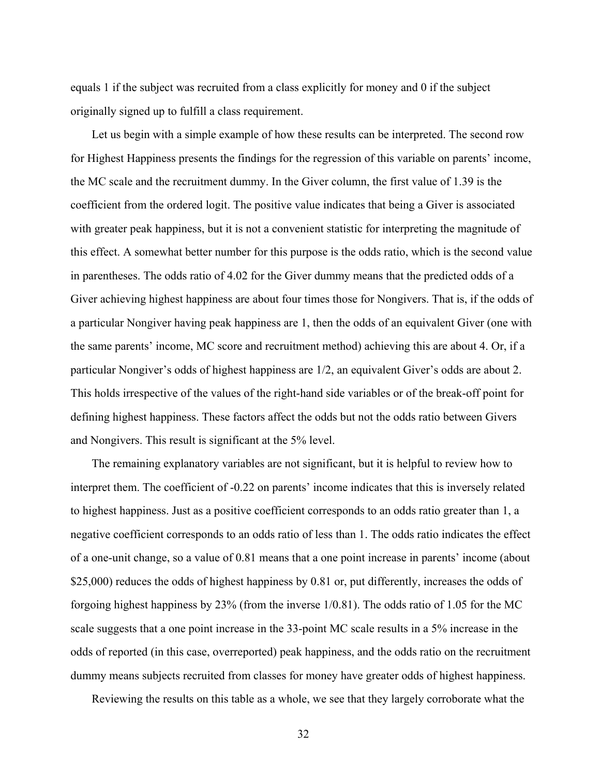equals 1 if the subject was recruited from a class explicitly for money and 0 if the subject originally signed up to fulfill a class requirement.

Let us begin with a simple example of how these results can be interpreted. The second row for Highest Happiness presents the findings for the regression of this variable on parents' income, the MC scale and the recruitment dummy. In the Giver column, the first value of 1.39 is the coefficient from the ordered logit. The positive value indicates that being a Giver is associated with greater peak happiness, but it is not a convenient statistic for interpreting the magnitude of this effect. A somewhat better number for this purpose is the odds ratio, which is the second value in parentheses. The odds ratio of 4.02 for the Giver dummy means that the predicted odds of a Giver achieving highest happiness are about four times those for Nongivers. That is, if the odds of a particular Nongiver having peak happiness are 1, then the odds of an equivalent Giver (one with the same parents' income, MC score and recruitment method) achieving this are about 4. Or, if a particular Nongiver's odds of highest happiness are 1/2, an equivalent Giver's odds are about 2. This holds irrespective of the values of the right-hand side variables or of the break-off point for defining highest happiness. These factors affect the odds but not the odds ratio between Givers and Nongivers. This result is significant at the 5% level.

The remaining explanatory variables are not significant, but it is helpful to review how to interpret them. The coefficient of -0.22 on parents' income indicates that this is inversely related to highest happiness. Just as a positive coefficient corresponds to an odds ratio greater than 1, a negative coefficient corresponds to an odds ratio of less than 1. The odds ratio indicates the effect of a one-unit change, so a value of 0.81 means that a one point increase in parents' income (about \$25,000) reduces the odds of highest happiness by 0.81 or, put differently, increases the odds of forgoing highest happiness by 23% (from the inverse 1/0.81). The odds ratio of 1.05 for the MC scale suggests that a one point increase in the 33-point MC scale results in a 5% increase in the odds of reported (in this case, overreported) peak happiness, and the odds ratio on the recruitment dummy means subjects recruited from classes for money have greater odds of highest happiness.

Reviewing the results on this table as a whole, we see that they largely corroborate what the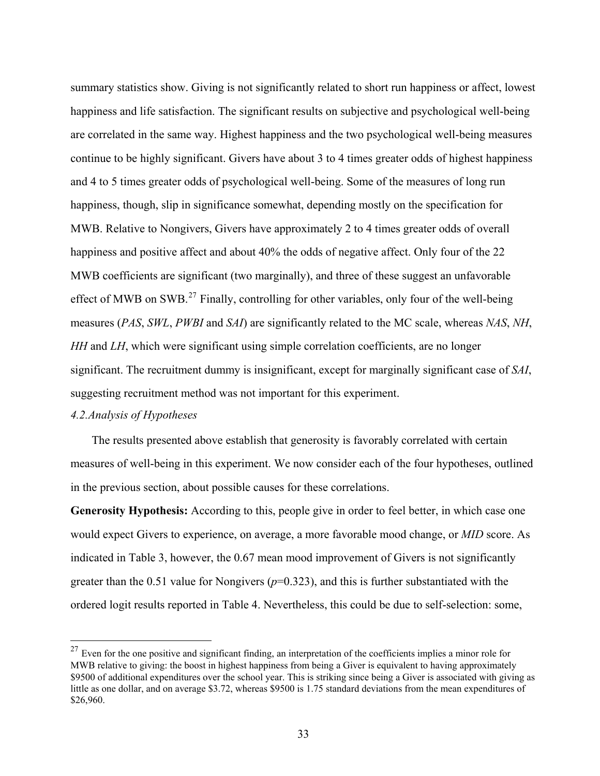<span id="page-33-0"></span>summary statistics show. Giving is not significantly related to short run happiness or affect, lowest happiness and life satisfaction. The significant results on subjective and psychological well-being are correlated in the same way. Highest happiness and the two psychological well-being measures continue to be highly significant. Givers have about 3 to 4 times greater odds of highest happiness and 4 to 5 times greater odds of psychological well-being. Some of the measures of long run happiness, though, slip in significance somewhat, depending mostly on the specification for MWB. Relative to Nongivers, Givers have approximately 2 to 4 times greater odds of overall happiness and positive affect and about 40% the odds of negative affect. Only four of the 22 MWB coefficients are significant (two marginally), and three of these suggest an unfavorable effect of MWB on SWB.<sup>[27](#page-33-0)</sup> Finally, controlling for other variables, only four of the well-being measures (*PAS*, *SWL*, *PWBI* and *SAI*) are significantly related to the MC scale, whereas *NAS*, *NH*, *HH* and *LH*, which were significant using simple correlation coefficients, are no longer significant. The recruitment dummy is insignificant, except for marginally significant case of *SAI*, suggesting recruitment method was not important for this experiment.

#### *4.2.Analysis of Hypotheses*

 $\overline{a}$ 

The results presented above establish that generosity is favorably correlated with certain measures of well-being in this experiment. We now consider each of the four hypotheses, outlined in the previous section, about possible causes for these correlations.

**Generosity Hypothesis:** According to this, people give in order to feel better, in which case one would expect Givers to experience, on average, a more favorable mood change, or *MID* score. As indicated in Table 3, however, the 0.67 mean mood improvement of Givers is not significantly greater than the 0.51 value for Nongivers (*p*=0.323), and this is further substantiated with the ordered logit results reported in Table 4. Nevertheless, this could be due to self-selection: some,

 $27$  Even for the one positive and significant finding, an interpretation of the coefficients implies a minor role for MWB relative to giving: the boost in highest happiness from being a Giver is equivalent to having approximately \$9500 of additional expenditures over the school year. This is striking since being a Giver is associated with giving as little as one dollar, and on average \$3.72, whereas \$9500 is 1.75 standard deviations from the mean expenditures of \$26,960.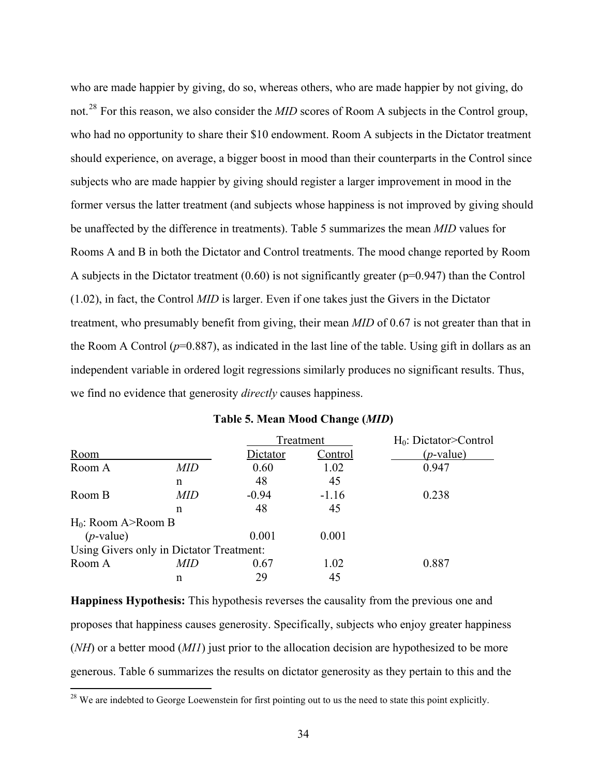<span id="page-34-0"></span>who are made happier by giving, do so, whereas others, who are made happier by not giving, do not.<sup>[28](#page-34-0)</sup> For this reason, we also consider the *MID* scores of Room A subjects in the Control group, who had no opportunity to share their \$10 endowment. Room A subjects in the Dictator treatment should experience, on average, a bigger boost in mood than their counterparts in the Control since subjects who are made happier by giving should register a larger improvement in mood in the former versus the latter treatment (and subjects whose happiness is not improved by giving should be unaffected by the difference in treatments). Table 5 summarizes the mean *MID* values for Rooms A and B in both the Dictator and Control treatments. The mood change reported by Room A subjects in the Dictator treatment  $(0.60)$  is not significantly greater ( $p=0.947$ ) than the Control (1.02), in fact, the Control *MID* is larger. Even if one takes just the Givers in the Dictator treatment, who presumably benefit from giving, their mean *MID* of 0.67 is not greater than that in the Room A Control  $(p=0.887)$ , as indicated in the last line of the table. Using gift in dollars as an independent variable in ordered logit regressions similarly produces no significant results. Thus, we find no evidence that generosity *directly* causes happiness.

|                                          |            |          | Treatment | $H_0$ : Dictator>Control |  |  |
|------------------------------------------|------------|----------|-----------|--------------------------|--|--|
| Room                                     |            | Dictator | Control   | $(p$ -value)             |  |  |
| Room A                                   | MID        | 0.60     | 1.02      | 0.947                    |  |  |
|                                          | n          | 48       | 45        |                          |  |  |
| Room B                                   | <b>MID</b> | $-0.94$  | $-1.16$   | 0.238                    |  |  |
|                                          | n          | 48       | 45        |                          |  |  |
| $H_0$ : Room A>Room B                    |            |          |           |                          |  |  |
| $(p$ -value)                             |            | 0.001    | 0.001     |                          |  |  |
| Using Givers only in Dictator Treatment: |            |          |           |                          |  |  |
| Room A                                   | MID        | 0.67     | 1.02      | 0.887                    |  |  |
|                                          | n          | 29       | 45        |                          |  |  |

## **Table 5. Mean Mood Change (***MID***)**

**Happiness Hypothesis:** This hypothesis reverses the causality from the previous one and proposes that happiness causes generosity. Specifically, subjects who enjoy greater happiness (*NH*) or a better mood (*MI1*) just prior to the allocation decision are hypothesized to be more generous. Table 6 summarizes the results on dictator generosity as they pertain to this and the

<sup>&</sup>lt;sup>28</sup> We are indebted to George Loewenstein for first pointing out to us the need to state this point explicitly.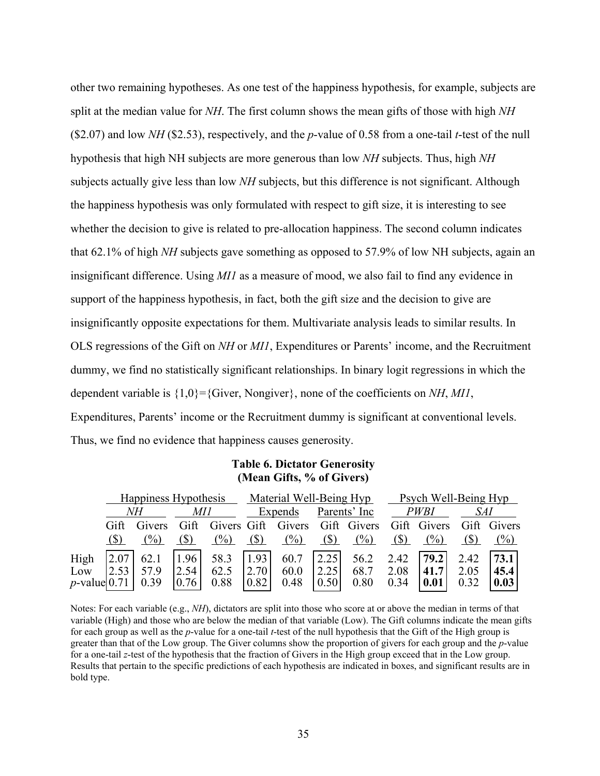other two remaining hypotheses. As one test of the happiness hypothesis, for example, subjects are split at the median value for *NH*. The first column shows the mean gifts of those with high *NH* (\$2.07) and low *NH* (\$2.53), respectively, and the *p*-value of 0.58 from a one-tail *t*-test of the null hypothesis that high NH subjects are more generous than low *NH* subjects. Thus, high *NH* subjects actually give less than low *NH* subjects, but this difference is not significant. Although the happiness hypothesis was only formulated with respect to gift size, it is interesting to see whether the decision to give is related to pre-allocation happiness. The second column indicates that 62.1% of high *NH* subjects gave something as opposed to 57.9% of low NH subjects, again an insignificant difference. Using *MI1* as a measure of mood, we also fail to find any evidence in support of the happiness hypothesis, in fact, both the gift size and the decision to give are insignificantly opposite expectations for them. Multivariate analysis leads to similar results. In OLS regressions of the Gift on *NH* or *MI1*, Expenditures or Parents' income, and the Recruitment dummy, we find no statistically significant relationships. In binary logit regressions in which the dependent variable is {1,0}={Giver, Nongiver}, none of the coefficients on *NH*, *MI1*, Expenditures, Parents' income or the Recruitment dummy is significant at conventional levels. Thus, we find no evidence that happiness causes generosity.

## **Table 6. Dictator Generosity (Mean Gifts, % of Givers)**

|                 | Happiness Hypothesis |        |                    |                         |                           | Material Well-Being Hyp |                           |             | Psych Well-Being Hyp |             |      |             |
|-----------------|----------------------|--------|--------------------|-------------------------|---------------------------|-------------------------|---------------------------|-------------|----------------------|-------------|------|-------------|
|                 | NН                   |        | МH                 |                         | Expends                   |                         | Parents' Inc              |             | <b>PWBI</b>          |             | SAI  |             |
|                 | Gift                 | Givers |                    | Gift Givers Gift Givers |                           |                         |                           | Gift Givers |                      | Gift Givers |      | Gift Givers |
|                 |                      | $(\%)$ |                    | $(\%)$                  | $\left( \text{\$}\right)$ | (%)                     | $\left( \text{\$}\right)$ | $(\%)$      |                      | $(\% )$     |      | $($ %)      |
| High            | 2.07                 | 62.1   | 1.96               | 58.3                    | 1.93                      | 60.7                    | 2.25                      | 56.2        | 2.42                 | 79.2        | 2.42 | 73.1        |
| Low             | 2.53                 | 57.9   | 2.54               | 62.5                    |                           | 60.0                    | 2.25                      | 68.7        | 2.08                 | 41.7        | 2.05 | 45.4        |
| $p$ -value 0.71 |                      | 0.39   | $\vert 0.76 \vert$ | 0.88                    | $\vert 0.82 \vert$        | 0.48                    | 0.50                      | 0.80        | 0.34                 | 0.01        | 0.32 | 0.03        |

Notes: For each variable (e.g., *NH*), dictators are split into those who score at or above the median in terms of that variable (High) and those who are below the median of that variable (Low). The Gift columns indicate the mean gifts for each group as well as the *p*-value for a one-tail *t*-test of the null hypothesis that the Gift of the High group is greater than that of the Low group. The Giver columns show the proportion of givers for each group and the *p*-value for a one-tail *z*-test of the hypothesis that the fraction of Givers in the High group exceed that in the Low group. Results that pertain to the specific predictions of each hypothesis are indicated in boxes, and significant results are in bold type.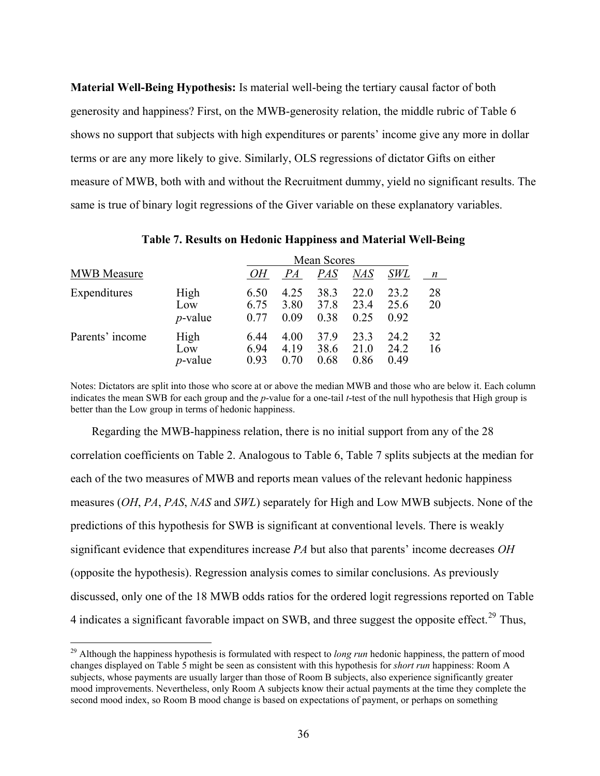<span id="page-36-0"></span>**Material Well-Being Hypothesis:** Is material well-being the tertiary causal factor of both generosity and happiness? First, on the MWB-generosity relation, the middle rubric of Table 6 shows no support that subjects with high expenditures or parents' income give any more in dollar terms or are any more likely to give. Similarly, OLS regressions of dictator Gifts on either measure of MWB, both with and without the Recruitment dummy, yield no significant results. The same is true of binary logit regressions of the Giver variable on these explanatory variables.

|                    |                           | Mean Scores          |                      |                      |                      |                      |          |  |
|--------------------|---------------------------|----------------------|----------------------|----------------------|----------------------|----------------------|----------|--|
| <b>MWB</b> Measure |                           | OН                   | PA                   | <b>PAS</b>           | <i>NAS</i>           | <b>SWL</b>           | n        |  |
| Expenditures       | High<br>Low<br>$p$ -value | 6.50<br>6.75<br>0.77 | 4.25<br>3.80<br>0.09 | 38.3<br>37.8<br>0.38 | 22.0<br>23.4<br>0.25 | 23.2<br>25.6<br>0.92 | 28<br>20 |  |
| Parents' income    | High<br>Low<br>$p$ -value | 6.44<br>6.94<br>0.93 | 4.00<br>4.19<br>0.70 | 379<br>38.6<br>0.68  | 233<br>21.0<br>0.86  | 24 2<br>24.2<br>0.49 | 32<br>16 |  |

**Table 7. Results on Hedonic Happiness and Material Well-Being** 

Notes: Dictators are split into those who score at or above the median MWB and those who are below it. Each column indicates the mean SWB for each group and the *p*-value for a one-tail *t*-test of the null hypothesis that High group is better than the Low group in terms of hedonic happiness.

Regarding the MWB-happiness relation, there is no initial support from any of the 28 correlation coefficients on Table 2. Analogous to Table 6, Table 7 splits subjects at the median for each of the two measures of MWB and reports mean values of the relevant hedonic happiness measures (*OH*, *PA*, *PAS*, *NAS* and *SWL*) separately for High and Low MWB subjects. None of the predictions of this hypothesis for SWB is significant at conventional levels. There is weakly significant evidence that expenditures increase *PA* but also that parents' income decreases *OH* (opposite the hypothesis). Regression analysis comes to similar conclusions. As previously discussed, only one of the 18 MWB odds ratios for the ordered logit regressions reported on Table 4 indicates a significant favorable impact on SWB, and three suggest the opposite effect.<sup>[29](#page-36-0)</sup> Thus,

<u>.</u>

<sup>&</sup>lt;sup>29</sup> Although the happiness hypothesis is formulated with respect to *long run* hedonic happiness, the pattern of mood changes displayed on Table 5 might be seen as consistent with this hypothesis for *short run* happiness: Room A subjects, whose payments are usually larger than those of Room B subjects, also experience significantly greater mood improvements. Nevertheless, only Room A subjects know their actual payments at the time they complete the second mood index, so Room B mood change is based on expectations of payment, or perhaps on something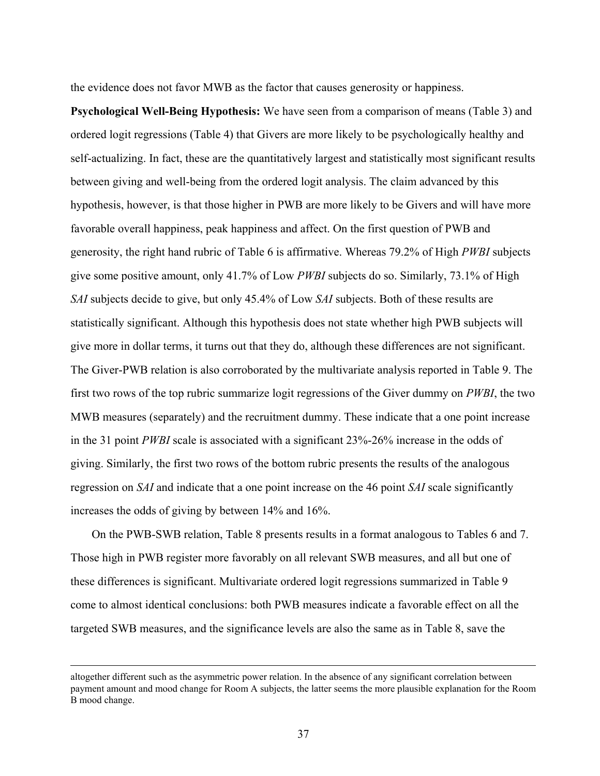the evidence does not favor MWB as the factor that causes generosity or happiness.

**Psychological Well-Being Hypothesis:** We have seen from a comparison of means (Table 3) and ordered logit regressions (Table 4) that Givers are more likely to be psychologically healthy and self-actualizing. In fact, these are the quantitatively largest and statistically most significant results between giving and well-being from the ordered logit analysis. The claim advanced by this hypothesis, however, is that those higher in PWB are more likely to be Givers and will have more favorable overall happiness, peak happiness and affect. On the first question of PWB and generosity, the right hand rubric of Table 6 is affirmative. Whereas 79.2% of High *PWBI* subjects give some positive amount, only 41.7% of Low *PWBI* subjects do so. Similarly, 73.1% of High *SAI* subjects decide to give, but only 45.4% of Low *SAI* subjects. Both of these results are statistically significant. Although this hypothesis does not state whether high PWB subjects will give more in dollar terms, it turns out that they do, although these differences are not significant. The Giver-PWB relation is also corroborated by the multivariate analysis reported in Table 9. The first two rows of the top rubric summarize logit regressions of the Giver dummy on *PWBI*, the two MWB measures (separately) and the recruitment dummy. These indicate that a one point increase in the 31 point *PWBI* scale is associated with a significant 23%-26% increase in the odds of giving. Similarly, the first two rows of the bottom rubric presents the results of the analogous regression on *SAI* and indicate that a one point increase on the 46 point *SAI* scale significantly increases the odds of giving by between 14% and 16%.

On the PWB-SWB relation, Table 8 presents results in a format analogous to Tables 6 and 7. Those high in PWB register more favorably on all relevant SWB measures, and all but one of these differences is significant. Multivariate ordered logit regressions summarized in Table 9 come to almost identical conclusions: both PWB measures indicate a favorable effect on all the targeted SWB measures, and the significance levels are also the same as in Table 8, save the

altogether different such as the asymmetric power relation. In the absence of any significant correlation between payment amount and mood change for Room A subjects, the latter seems the more plausible explanation for the Room B mood change.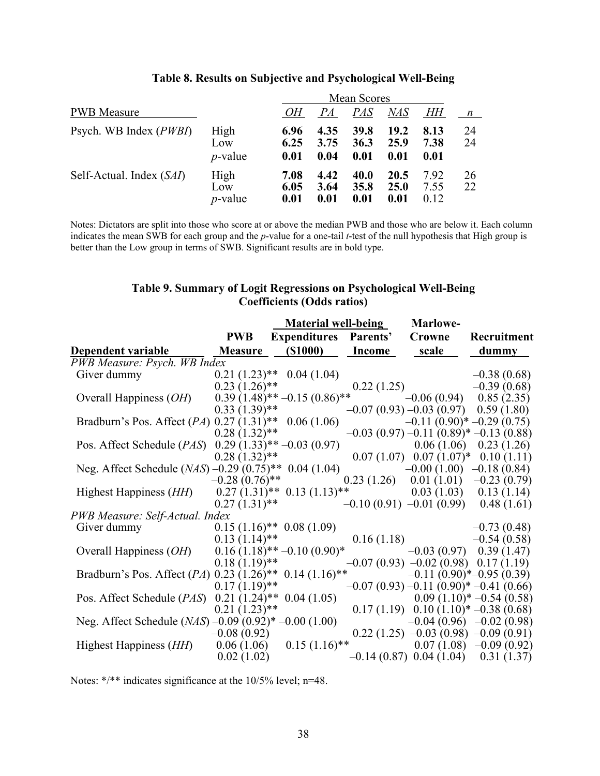|                                 | Mean Scores                    |                      |                      |                             |                             |                      |                  |  |
|---------------------------------|--------------------------------|----------------------|----------------------|-----------------------------|-----------------------------|----------------------|------------------|--|
| <b>PWB</b> Measure              |                                | OН                   | PA                   | PAS                         | <b>NAS</b>                  | HН                   | $\boldsymbol{n}$ |  |
| Psych. WB Index ( <i>PWBI</i> ) | High<br>Low<br>$p$ -value      | 6.96<br>6.25<br>0.01 | 4.35<br>3.75<br>0.04 | <b>39.8</b><br>36.3<br>0.01 | 19.2<br>25.9<br>0.01        | 8.13<br>7.38<br>0.01 | 24<br>24         |  |
| Self-Actual. Index (SAI)        | High<br>Low<br><i>p</i> -value | 7.08<br>6.05<br>0.01 | 4.42<br>3.64<br>0.01 | 40.0<br>35.8<br>0.01        | 20.5<br><b>25.0</b><br>0.01 | 7.92<br>7.55<br>0.12 | 26<br>22         |  |

## **Table 8. Results on Subjective and Psychological Well-Being**

Notes: Dictators are split into those who score at or above the median PWB and those who are below it. Each column indicates the mean SWB for each group and the *p*-value for a one-tail *t*-test of the null hypothesis that High group is better than the Low group in terms of SWB. Significant results are in bold type.

## **Table 9. Summary of Logit Regressions on Psychological Well-Being Coefficients (Odds ratios)**

|                                                                         |                  | <b>Material well-being</b>                                                        | Marlowe- |                                                         |  |  |
|-------------------------------------------------------------------------|------------------|-----------------------------------------------------------------------------------|----------|---------------------------------------------------------|--|--|
|                                                                         | <b>PWB</b>       | <b>Expenditures Parents'</b>                                                      | Crowne   | Recruitment                                             |  |  |
| <u>Dependent variable Measure (\$1000) Income scale</u>                 |                  |                                                                                   |          | <u>dummy</u>                                            |  |  |
| PWB Measure: Psych. WB Index                                            |                  |                                                                                   |          |                                                         |  |  |
| Giver dummy                                                             |                  | $0.21(1.23)$ ** $0.04(1.04)$                                                      |          | $-0.38(0.68)$<br>$-0.39(0.68)$<br>$-0.39(0.68)$         |  |  |
|                                                                         | $0.23(1.26)$ **  |                                                                                   |          |                                                         |  |  |
| Overall Happiness $(OH)$                                                |                  | $0.39(1.48)$ ** -0.15 $(0.86)$ **                                                 |          | $-0.06(0.94)$ 0.85 $(2.35)$                             |  |  |
|                                                                         | $0.33(1.39)$ **  |                                                                                   |          | $-0.07(0.93)-0.03(0.97)$ 0.59 (1.80)                    |  |  |
| Bradburn's Pos. Affect $(PA)$ 0.27 $(1.31)**$ 0.06 (1.06)               |                  |                                                                                   |          | $-0.11(0.90)$ * $-0.29(0.75)$                           |  |  |
|                                                                         | $0.28(1.32)$ **  |                                                                                   |          | $-0.03(0.97)-0.11(0.89)*-0.13(0.88)$                    |  |  |
| Pos. Affect Schedule $(PAS)$ 0.29 $(1.33)$ <sup>**</sup> -0.03 $(0.97)$ |                  |                                                                                   |          | $0.06(1.06)$ $0.23(1.26)$                               |  |  |
|                                                                         | $0.28(1.32)$ **  |                                                                                   |          | $0.07(1.07)$ $0.07(1.07)^*$ $0.10(1.11)$                |  |  |
| Neg. Affect Schedule $(NAS)$ –0.29 $(0.75)$ <sup>**</sup> 0.04 (1.04)   |                  |                                                                                   |          | $-0.00(1.00)$ $-0.18(0.84)$                             |  |  |
|                                                                         | $-0.28(0.76)$ ** |                                                                                   |          | $0.23(1.26)$ $0.01(1.01)$ $-0.23(0.79)$                 |  |  |
| Highest Happiness (HH)                                                  |                  | $0.27 (1.31)$ <sup>**</sup> $0.13 (1.13)$ <sup>**</sup> $0.03 (1.03) 0.13 (1.14)$ |          |                                                         |  |  |
|                                                                         |                  | $0.27(1.31)$ <sup>**</sup>                                                        |          | $-0.10(0.91) -0.01(0.99)$ 0.48 (1.61)                   |  |  |
| PWB Measure: Self-Actual. Index                                         |                  |                                                                                   |          |                                                         |  |  |
| Giver dummy                                                             |                  | $0.15(1.16)$ ** $0.08(1.09)$                                                      |          | $-0.73(0.48)$<br>$-0.54(0.58)$                          |  |  |
|                                                                         | $0.13(1.14)$ **  |                                                                                   |          |                                                         |  |  |
| Overall Happiness $(OH)$                                                |                  | $0.16(1.18)$ ** -0.10 $(0.90)$ *                                                  |          | $-0.03(0.97)$ 0.39 (1.47)                               |  |  |
|                                                                         |                  | $0.18(1.19)$ <sup>**</sup>                                                        |          | $-0.07(0.93)$ $-0.02(0.98)$ 0.17 $(1.19)$               |  |  |
| Bradburn's Pos. Affect (PA) 0.23 (1.26)** 0.14 (1.16)**                 |                  |                                                                                   |          | $-0.11(0.90)^* - 0.95(0.39)$                            |  |  |
|                                                                         | $0.17(1.19)$ **  |                                                                                   |          | $-0.07(0.93) -0.11(0.90)$ * $-0.41(0.66)$               |  |  |
| Pos. Affect Schedule ( <i>PAS</i> )                                     |                  | $0.21(1.24)$ <sup>**</sup> $0.04(1.05)$                                           |          | $0.09(1.10)^* - 0.54(0.58)$                             |  |  |
|                                                                         | $0.21(1.23)$ **  |                                                                                   |          | $0.17(1.19)$ $0.10(1.10)*-0.38(0.68)$                   |  |  |
| Neg. Affect Schedule $(NAS)$ –0.09 $(0.92)$ * –0.00 $(1.00)$            |                  |                                                                                   |          | $-0.04(0.96)$ $-0.02(0.98)$                             |  |  |
|                                                                         | $-0.08(0.92)$    |                                                                                   |          | $0.22(1.25) -0.03(0.98) -0.09(0.91)$                    |  |  |
| Highest Happiness ( <i>HH</i> )                                         |                  |                                                                                   |          | $0.06(1.06)$ $0.15(1.16)$ ** $0.07(1.08)$ $-0.09(0.92)$ |  |  |
|                                                                         | 0.02(1.02)       |                                                                                   |          | $-0.14(0.87)$ 0.04 (1.04) 0.31 (1.37)                   |  |  |

Notes: \*/\*\* indicates significance at the 10/5% level; n=48.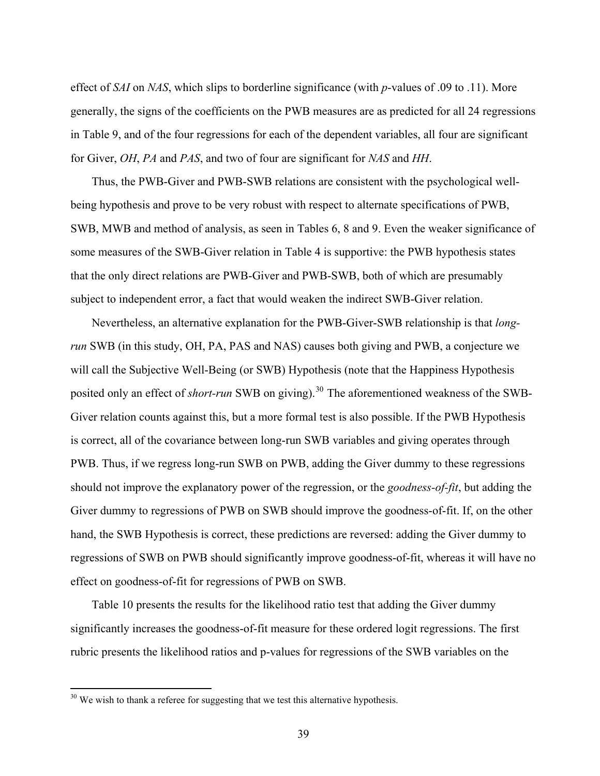<span id="page-39-0"></span>effect of *SAI* on *NAS*, which slips to borderline significance (with *p*-values of .09 to .11). More generally, the signs of the coefficients on the PWB measures are as predicted for all 24 regressions in Table 9, and of the four regressions for each of the dependent variables, all four are significant for Giver, *OH*, *PA* and *PAS*, and two of four are significant for *NAS* and *HH*.

Thus, the PWB-Giver and PWB-SWB relations are consistent with the psychological wellbeing hypothesis and prove to be very robust with respect to alternate specifications of PWB, SWB, MWB and method of analysis, as seen in Tables 6, 8 and 9. Even the weaker significance of some measures of the SWB-Giver relation in Table 4 is supportive: the PWB hypothesis states that the only direct relations are PWB-Giver and PWB-SWB, both of which are presumably subject to independent error, a fact that would weaken the indirect SWB-Giver relation.

Nevertheless, an alternative explanation for the PWB-Giver-SWB relationship is that *longrun* SWB (in this study, OH, PA, PAS and NAS) causes both giving and PWB, a conjecture we will call the Subjective Well-Being (or SWB) Hypothesis (note that the Happiness Hypothesis posited only an effect of *short-run* SWB on giving).<sup>[30](#page-39-0)</sup> The aforementioned weakness of the SWB-Giver relation counts against this, but a more formal test is also possible. If the PWB Hypothesis is correct, all of the covariance between long-run SWB variables and giving operates through PWB. Thus, if we regress long-run SWB on PWB, adding the Giver dummy to these regressions should not improve the explanatory power of the regression, or the *goodness-of-fit*, but adding the Giver dummy to regressions of PWB on SWB should improve the goodness-of-fit. If, on the other hand, the SWB Hypothesis is correct, these predictions are reversed: adding the Giver dummy to regressions of SWB on PWB should significantly improve goodness-of-fit, whereas it will have no effect on goodness-of-fit for regressions of PWB on SWB.

Table 10 presents the results for the likelihood ratio test that adding the Giver dummy significantly increases the goodness-of-fit measure for these ordered logit regressions. The first rubric presents the likelihood ratios and p-values for regressions of the SWB variables on the

 $30$  We wish to thank a referee for suggesting that we test this alternative hypothesis.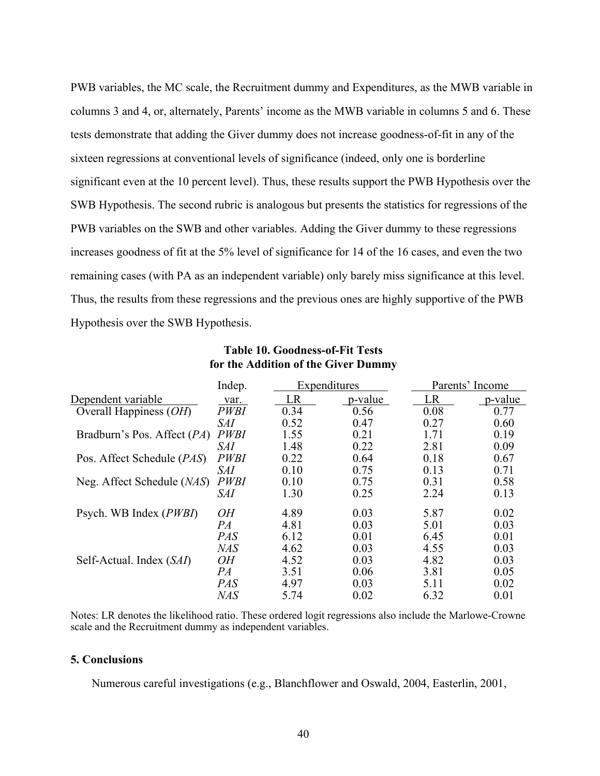PWB variables, the MC scale, the Recruitment dummy and Expenditures, as the MWB variable in columns 3 and 4, or, alternately, Parents' income as the MWB variable in columns 5 and 6. These tests demonstrate that adding the Giver dummy does not increase goodness-of-fit in any of the sixteen regressions at conventional levels of significance (indeed, only one is borderline significant even at the 10 percent level). Thus, these results support the PWB Hypothesis over the SWB Hypothesis. The second rubric is analogous but presents the statistics for regressions of the PWB variables on the SWB and other variables. Adding the Giver dummy to these regressions increases goodness of fit at the 5% level of significance for 14 of the 16 cases, and even the two remaining cases (with PA as an independent variable) only barely miss significance at this level. Thus, the results from these regressions and the previous ones are highly supportive of the PWB Hypothesis over the SWB Hypothesis.

|                                     | Indep.      | Expenditures |         | Parents' Income |         |  |
|-------------------------------------|-------------|--------------|---------|-----------------|---------|--|
| Dependent variable                  | var.        | LR           | p-value | LR              | p-value |  |
| Overall Happiness $(OH)$            | <i>PWBI</i> | 0.34         | 0.56    | 0.08            | 0.77    |  |
|                                     | SAI         | 0.52         | 0.47    | 0.27            | 0.60    |  |
| Bradburn's Pos. Affect (PA)         | <i>PWBI</i> | 1.55         | 0.21    | 1.71            | 0.19    |  |
|                                     | SAI         | 1.48         | 0.22    | 2.81            | 0.09    |  |
| Pos. Affect Schedule ( <i>PAS</i> ) | <b>PWBI</b> | 0.22         | 0.64    | 0.18            | 0.67    |  |
|                                     | <i>SAI</i>  | 0.10         | 0.75    | 0.13            | 0.71    |  |
| Neg. Affect Schedule (NAS)          | <i>PWBI</i> | 0.10         | 0.75    | 0.31            | 0.58    |  |
|                                     | SAI         | 1.30         | 0.25    | 2.24            | 0.13    |  |
| Psych. WB Index ( <i>PWBI</i> )     | OΗ          | 4.89         | 0.03    | 5.87            | 0.02    |  |
|                                     | PA          | 4.81         | 0.03    | 5.01            | 0.03    |  |
|                                     | <b>PAS</b>  | 6.12         | 0.01    | 6.45            | 0.01    |  |
|                                     | <b>NAS</b>  | 4.62         | 0.03    | 4.55            | 0.03    |  |
| Self-Actual. Index (SAI)            | OН          | 4.52         | 0.03    | 4.82            | 0.03    |  |
|                                     | PA          | 3.51         | 0.06    | 3.81            | 0.05    |  |
|                                     | <b>PAS</b>  | 4.97         | 0.03    | 5.11            | 0.02    |  |
|                                     | NAS         | 5.74         | 0.02    | 6.32            | 0.01    |  |

## **Table 10. Goodness-of-Fit Tests for the Addition of the Giver Dummy**

Notes: LR denotes the likelihood ratio. These ordered logit regressions also include the Marlowe-Crowne scale and the Recruitment dummy as independent variables.

#### **5. Conclusions**

Numerous careful investigations (e.g., Blanchflower and Oswald, 2004, Easterlin, 2001,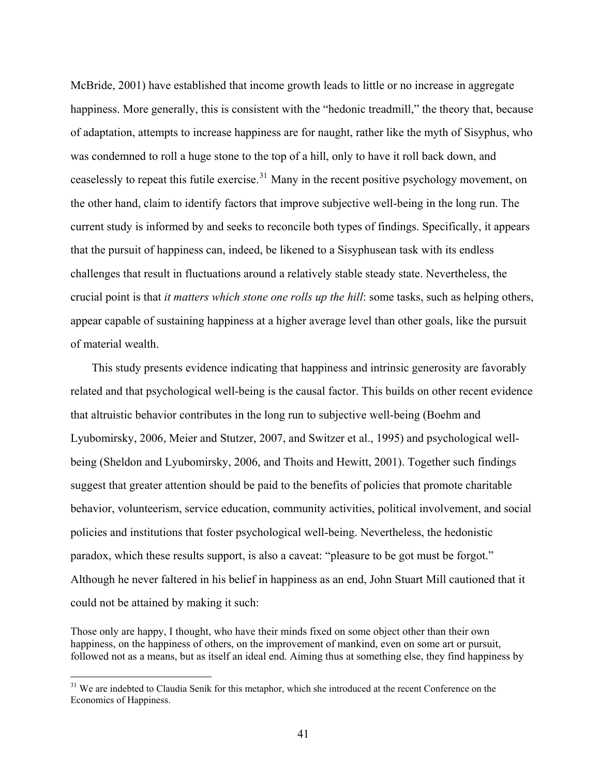<span id="page-41-0"></span>McBride, 2001) have established that income growth leads to little or no increase in aggregate happiness. More generally, this is consistent with the "hedonic treadmill," the theory that, because of adaptation, attempts to increase happiness are for naught, rather like the myth of Sisyphus, who was condemned to roll a huge stone to the top of a hill, only to have it roll back down, and ceaselessly to repeat this futile exercise.<sup>[31](#page-41-0)</sup> Many in the recent positive psychology movement, on the other hand, claim to identify factors that improve subjective well-being in the long run. The current study is informed by and seeks to reconcile both types of findings. Specifically, it appears that the pursuit of happiness can, indeed, be likened to a Sisyphusean task with its endless challenges that result in fluctuations around a relatively stable steady state. Nevertheless, the crucial point is that *it matters which stone one rolls up the hill*: some tasks, such as helping others, appear capable of sustaining happiness at a higher average level than other goals, like the pursuit of material wealth.

This study presents evidence indicating that happiness and intrinsic generosity are favorably related and that psychological well-being is the causal factor. This builds on other recent evidence that altruistic behavior contributes in the long run to subjective well-being (Boehm and Lyubomirsky, 2006, Meier and Stutzer, 2007, and Switzer et al., 1995) and psychological wellbeing (Sheldon and Lyubomirsky, 2006, and Thoits and Hewitt, 2001). Together such findings suggest that greater attention should be paid to the benefits of policies that promote charitable behavior, volunteerism, service education, community activities, political involvement, and social policies and institutions that foster psychological well-being. Nevertheless, the hedonistic paradox, which these results support, is also a caveat: "pleasure to be got must be forgot." Although he never faltered in his belief in happiness as an end, John Stuart Mill cautioned that it could not be attained by making it such:

Those only are happy, I thought, who have their minds fixed on some object other than their own happiness, on the happiness of others, on the improvement of mankind, even on some art or pursuit, followed not as a means, but as itself an ideal end. Aiming thus at something else, they find happiness by

<sup>&</sup>lt;sup>31</sup> We are indebted to Claudia Senik for this metaphor, which she introduced at the recent Conference on the Economics of Happiness.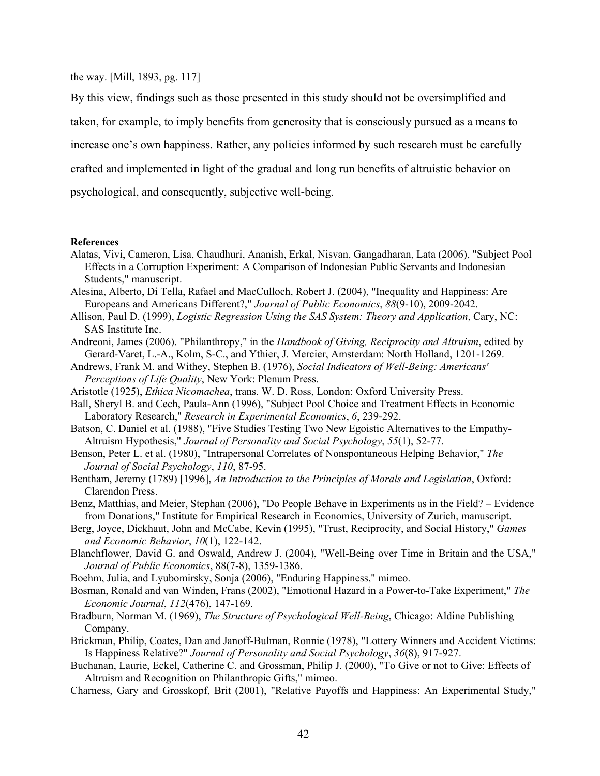the way. [Mill, 1893, pg. 117]

By this view, findings such as those presented in this study should not be oversimplified and taken, for example, to imply benefits from generosity that is consciously pursued as a means to increase one's own happiness. Rather, any policies informed by such research must be carefully crafted and implemented in light of the gradual and long run benefits of altruistic behavior on psychological, and consequently, subjective well-being.

#### **References**

- Alatas, Vivi, Cameron, Lisa, Chaudhuri, Ananish, Erkal, Nisvan, Gangadharan, Lata (2006), "Subject Pool Effects in a Corruption Experiment: A Comparison of Indonesian Public Servants and Indonesian Students," manuscript.
- Alesina, Alberto, Di Tella, Rafael and MacCulloch, Robert J. (2004), "Inequality and Happiness: Are Europeans and Americans Different?," *Journal of Public Economics*, *88*(9-10), 2009-2042.
- Allison, Paul D. (1999), *Logistic Regression Using the SAS System: Theory and Application*, Cary, NC: SAS Institute Inc.
- Andreoni, James (2006). "Philanthropy," in the *Handbook of Giving, Reciprocity and Altruism*, edited by Gerard-Varet, L.-A., Kolm, S-C., and Ythier, J. Mercier, Amsterdam: North Holland, 1201-1269.
- Andrews, Frank M. and Withey, Stephen B. (1976), *Social Indicators of Well-Being: Americans' Perceptions of Life Quality*, New York: Plenum Press.
- Aristotle (1925), *Ethica Nicomachea*, trans. W. D. Ross, London: Oxford University Press.
- Ball, Sheryl B. and Cech, Paula-Ann (1996), "Subject Pool Choice and Treatment Effects in Economic Laboratory Research," *Research in Experimental Economics*, *6*, 239-292.
- Batson, C. Daniel et al. (1988), "Five Studies Testing Two New Egoistic Alternatives to the Empathy-Altruism Hypothesis," *Journal of Personality and Social Psychology*, *55*(1), 52-77.
- Benson, Peter L. et al. (1980), "Intrapersonal Correlates of Nonspontaneous Helping Behavior," *The Journal of Social Psychology*, *110*, 87-95.
- Bentham, Jeremy (1789) [1996], *An Introduction to the Principles of Morals and Legislation*, Oxford: Clarendon Press.
- Benz, Matthias, and Meier, Stephan (2006), "Do People Behave in Experiments as in the Field? Evidence from Donations," Institute for Empirical Research in Economics, University of Zurich, manuscript.
- Berg, Joyce, Dickhaut, John and McCabe, Kevin (1995), "Trust, Reciprocity, and Social History," *Games and Economic Behavior*, *10*(1), 122-142.
- Blanchflower, David G. and Oswald, Andrew J. (2004), "Well-Being over Time in Britain and the USA," *Journal of Public Economics*, 88(7-8), 1359-1386.
- Boehm, Julia, and Lyubomirsky, Sonja (2006), "Enduring Happiness," mimeo.
- Bosman, Ronald and van Winden, Frans (2002), "Emotional Hazard in a Power-to-Take Experiment," *The Economic Journal*, *112*(476), 147-169.
- Bradburn, Norman M. (1969), *The Structure of Psychological Well-Being*, Chicago: Aldine Publishing Company.
- Brickman, Philip, Coates, Dan and Janoff-Bulman, Ronnie (1978), "Lottery Winners and Accident Victims: Is Happiness Relative?" *Journal of Personality and Social Psychology*, *36*(8), 917-927.
- Buchanan, Laurie, Eckel, Catherine C. and Grossman, Philip J. (2000), "To Give or not to Give: Effects of Altruism and Recognition on Philanthropic Gifts," mimeo.
- Charness, Gary and Grosskopf, Brit (2001), "Relative Payoffs and Happiness: An Experimental Study,"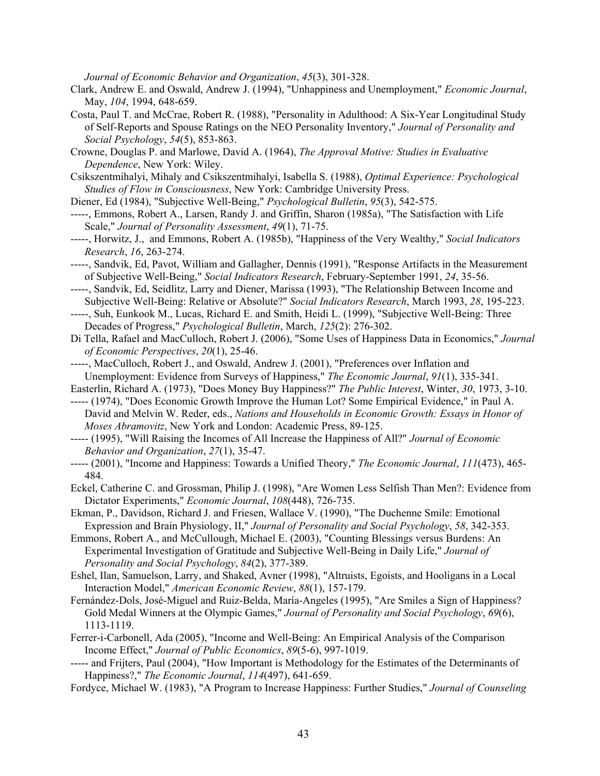*Journal of Economic Behavior and Organization*, *45*(3), 301-328.

- Clark, Andrew E. and Oswald, Andrew J. (1994), "Unhappiness and Unemployment," *Economic Journal*, May, *104*, 1994, 648-659.
- Costa, Paul T. and McCrae, Robert R. (1988), "Personality in Adulthood: A Six-Year Longitudinal Study of Self-Reports and Spouse Ratings on the NEO Personality Inventory," *Journal of Personality and Social Psychology*, *54*(5), 853-863.
- Crowne, Douglas P. and Marlowe, David A. (1964), *The Approval Motive: Studies in Evaluative Dependence*, New York: Wiley.
- Csikszentmihalyi, Mihaly and Csikszentmihalyi, Isabella S. (1988), *Optimal Experience: Psychological Studies of Flow in Consciousness*, New York: Cambridge University Press.
- Diener, Ed (1984), "Subjective Well-Being," *Psychological Bulletin*, *95*(3), 542-575.
- -----, Emmons, Robert A., Larsen, Randy J. and Griffin, Sharon (1985a), "The Satisfaction with Life Scale," *Journal of Personality Assessment*, *49*(1), 71-75.
- -----, Horwitz, J., and Emmons, Robert A. (1985b), "Happiness of the Very Wealthy," *Social Indicators Research*, *16*, 263-274.
- -----, Sandvik, Ed, Pavot, William and Gallagher, Dennis (1991), "Response Artifacts in the Measurement of Subjective Well-Being," *Social Indicators Research*, February-September 1991, *24*, 35-56.
- -----, Sandvik, Ed, Seidlitz, Larry and Diener, Marissa (1993), "The Relationship Between Income and Subjective Well-Being: Relative or Absolute?" *Social Indicators Research*, March 1993, *28*, 195-223.
- -----, Suh, Eunkook M., Lucas, Richard E. and Smith, Heidi L. (1999), "Subjective Well-Being: Three Decades of Progress," *Psychological Bulletin*, March, *125*(2): 276-302.
- Di Tella, Rafael and MacCulloch, Robert J. (2006), "Some Uses of Happiness Data in Economics," *Journal of Economic Perspectives*, *20*(1), 25-46.
- -----, MacCulloch, Robert J., and Oswald, Andrew J. (2001), "Preferences over Inflation and Unemployment: Evidence from Surveys of Happiness," *The Economic Journal*, *91*(1), 335-341.
- Easterlin, Richard A. (1973), "Does Money Buy Happiness?" *The Public Interest*, Winter, *30*, 1973, 3-10.
- ----- (1974), "Does Economic Growth Improve the Human Lot? Some Empirical Evidence," in Paul A. David and Melvin W. Reder, eds., *Nations and Households in Economic Growth: Essays in Honor of Moses Abramovitz*, New York and London: Academic Press, 89-125.
- ----- (1995), "Will Raising the Incomes of All Increase the Happiness of All?" *Journal of Economic Behavior and Organization*, *27*(1), 35-47.
- ----- (2001), "Income and Happiness: Towards a Unified Theory," *The Economic Journal*, *111*(473), 465- 484.
- Eckel, Catherine C. and Grossman, Philip J. (1998), "Are Women Less Selfish Than Men?: Evidence from Dictator Experiments," *Economic Journal*, *108*(448), 726-735.
- Ekman, P., Davidson, Richard J. and Friesen, Wallace V. (1990), "The Duchenne Smile: Emotional Expression and Brain Physiology, II," *Journal of Personality and Social Psychology*, *58*, 342-353.
- Emmons, Robert A., and McCullough, Michael E. (2003), "Counting Blessings versus Burdens: An Experimental Investigation of Gratitude and Subjective Well-Being in Daily Life," *Journal of Personality and Social Psychology*, *84*(2), 377-389.
- Eshel, Ilan, Samuelson, Larry, and Shaked, Avner (1998), "Altruists, Egoists, and Hooligans in a Local Interaction Model," *American Economic Review*, *88*(1), 157-179.
- Fernández-Dols, José-Miguel and Ruiz-Belda, María-Angeles (1995), "Are Smiles a Sign of Happiness? Gold Medal Winners at the Olympic Games," *Journal of Personality and Social Psychology*, *69*(6), 1113-1119.
- Ferrer-i-Carbonell, Ada (2005), "Income and Well-Being: An Empirical Analysis of the Comparison Income Effect," *Journal of Public Economics*, *89*(5-6), 997-1019.
- ----- and Frijters, Paul (2004), "How Important is Methodology for the Estimates of the Determinants of Happiness?," *The Economic Journal*, *114*(497), 641-659.
- Fordyce, Michael W. (1983), "A Program to Increase Happiness: Further Studies," *Journal of Counseling*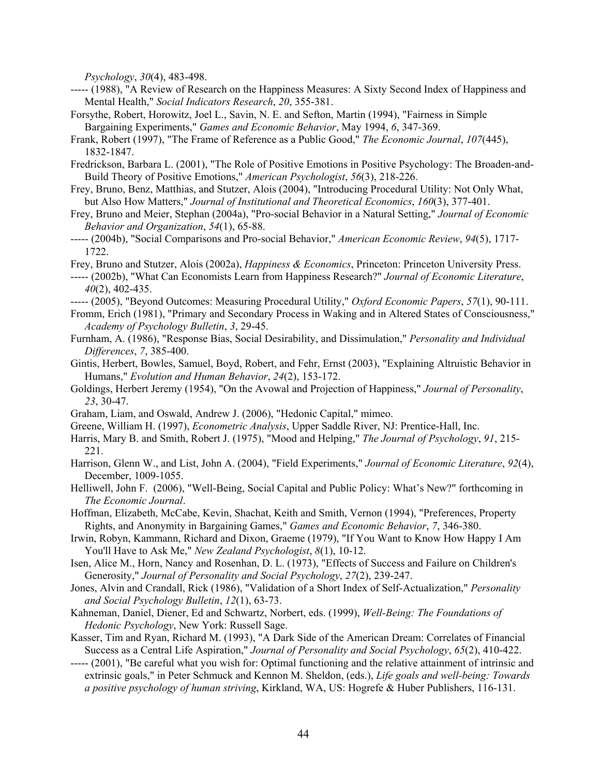*Psychology*, *30*(4), 483-498.

- ----- (1988), "A Review of Research on the Happiness Measures: A Sixty Second Index of Happiness and Mental Health," *Social Indicators Research*, *20*, 355-381.
- Forsythe, Robert, Horowitz, Joel L., Savin, N. E. and Sefton, Martin (1994), "Fairness in Simple Bargaining Experiments," *Games and Economic Behavior*, May 1994, *6*, 347-369.
- Frank, Robert (1997), "The Frame of Reference as a Public Good," *The Economic Journal*, *107*(445), 1832-1847.
- Fredrickson, Barbara L. (2001), "The Role of Positive Emotions in Positive Psychology: The Broaden-and-Build Theory of Positive Emotions," *American Psychologist*, *56*(3), 218-226.
- Frey, Bruno, Benz, Matthias, and Stutzer, Alois (2004), "Introducing Procedural Utility: Not Only What, but Also How Matters," *Journal of Institutional and Theoretical Economics*, *160*(3), 377-401.
- Frey, Bruno and Meier, Stephan (2004a), "Pro-social Behavior in a Natural Setting," *Journal of Economic Behavior and Organization*, *54*(1), 65-88.
- ----- (2004b), "Social Comparisons and Pro-social Behavior," *American Economic Review*, *94*(5), 1717- 1722.
- Frey, Bruno and Stutzer, Alois (2002a), *Happiness & Economics*, Princeton: Princeton University Press.
- ----- (2002b), "What Can Economists Learn from Happiness Research?" *Journal of Economic Literature*, *40*(2), 402-435.
- ----- (2005), "Beyond Outcomes: Measuring Procedural Utility," *Oxford Economic Papers*, *57*(1), 90-111.
- Fromm, Erich (1981), "Primary and Secondary Process in Waking and in Altered States of Consciousness," *Academy of Psychology Bulletin*, *3*, 29-45.
- Furnham, A. (1986), "Response Bias, Social Desirability, and Dissimulation," *Personality and Individual Differences*, *7*, 385-400.
- Gintis, Herbert, Bowles, Samuel, Boyd, Robert, and Fehr, Ernst (2003), "Explaining Altruistic Behavior in Humans," *Evolution and Human Behavior*, *24*(2), 153-172.
- Goldings, Herbert Jeremy (1954), "On the Avowal and Projection of Happiness," *Journal of Personality*, *23*, 30-47.
- Graham, Liam, and Oswald, Andrew J. (2006), "Hedonic Capital," mimeo.
- Greene, William H. (1997), *Econometric Analysis*, Upper Saddle River, NJ: Prentice-Hall, Inc.
- Harris, Mary B. and Smith, Robert J. (1975), "Mood and Helping," *The Journal of Psychology*, *91*, 215- 221.
- Harrison, Glenn W., and List, John A. (2004), "Field Experiments," *Journal of Economic Literature*, *92*(4), December, 1009-1055.
- Helliwell, John F. (2006), "Well-Being, Social Capital and Public Policy: What's New?" forthcoming in *The Economic Journal*.
- Hoffman, Elizabeth, McCabe, Kevin, Shachat, Keith and Smith, Vernon (1994), "Preferences, Property Rights, and Anonymity in Bargaining Games," *Games and Economic Behavior*, *7*, 346-380.
- Irwin, Robyn, Kammann, Richard and Dixon, Graeme (1979), "If You Want to Know How Happy I Am You'll Have to Ask Me," *New Zealand Psychologist*, *8*(1), 10-12.
- Isen, Alice M., Horn, Nancy and Rosenhan, D. L. (1973), "Effects of Success and Failure on Children's Generosity," *Journal of Personality and Social Psychology*, *27*(2), 239-247.
- Jones, Alvin and Crandall, Rick (1986), "Validation of a Short Index of Self-Actualization," *Personality and Social Psychology Bulletin*, *12*(1), 63-73.
- Kahneman, Daniel, Diener, Ed and Schwartz, Norbert, eds. (1999), *Well-Being: The Foundations of Hedonic Psychology*, New York: Russell Sage.
- Kasser, Tim and Ryan, Richard M. (1993), "A Dark Side of the American Dream: Correlates of Financial Success as a Central Life Aspiration," *Journal of Personality and Social Psychology*, *65*(2), 410-422.
- ----- (2001), "Be careful what you wish for: Optimal functioning and the relative attainment of intrinsic and extrinsic goals," in Peter Schmuck and Kennon M. Sheldon, (eds.), *Life goals and well-being: Towards a positive psychology of human striving*, Kirkland, WA, US: Hogrefe & Huber Publishers, 116-131.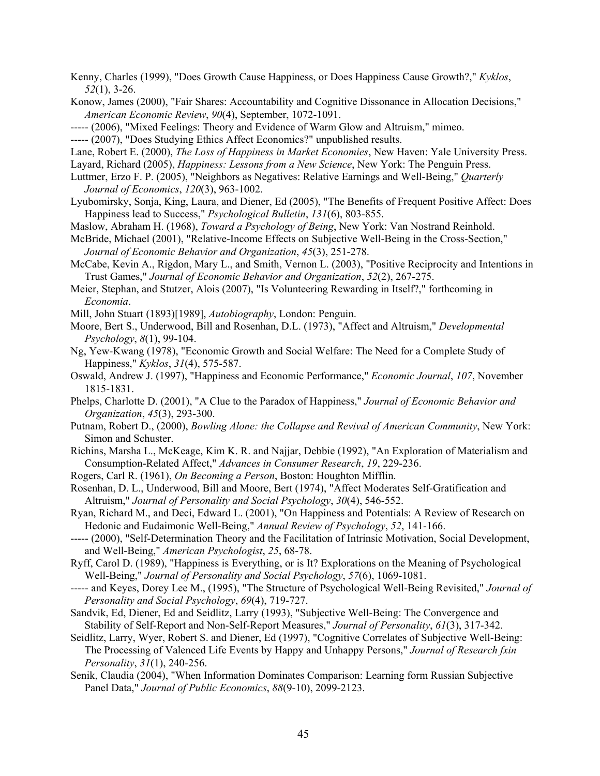- Kenny, Charles (1999), "Does Growth Cause Happiness, or Does Happiness Cause Growth?," *Kyklos*, *52*(1), 3-26.
- Konow, James (2000), "Fair Shares: Accountability and Cognitive Dissonance in Allocation Decisions," *American Economic Review*, *90*(4), September, 1072-1091.
- ----- (2006), "Mixed Feelings: Theory and Evidence of Warm Glow and Altruism," mimeo.
- ----- (2007), "Does Studying Ethics Affect Economics?" unpublished results.

Lane, Robert E. (2000), *The Loss of Happiness in Market Economies*, New Haven: Yale University Press.

- Layard, Richard (2005), *Happiness: Lessons from a New Science*, New York: The Penguin Press.
- Luttmer, Erzo F. P. (2005), "Neighbors as Negatives: Relative Earnings and Well-Being," *Quarterly Journal of Economics*, *120*(3), 963-1002.
- Lyubomirsky, Sonja, King, Laura, and Diener, Ed (2005), "The Benefits of Frequent Positive Affect: Does Happiness lead to Success," *Psychological Bulletin*, *131*(6), 803-855.
- Maslow, Abraham H. (1968), *Toward a Psychology of Being*, New York: Van Nostrand Reinhold.

McBride, Michael (2001), "Relative-Income Effects on Subjective Well-Being in the Cross-Section," *Journal of Economic Behavior and Organization*, *45*(3), 251-278.

- McCabe, Kevin A., Rigdon, Mary L., and Smith, Vernon L. (2003), "Positive Reciprocity and Intentions in Trust Games," *Journal of Economic Behavior and Organization*, *52*(2), 267-275.
- Meier, Stephan, and Stutzer, Alois (2007), "Is Volunteering Rewarding in Itself?," forthcoming in *Economia*.
- Mill, John Stuart (1893)[1989], *Autobiography*, London: Penguin.
- Moore, Bert S., Underwood, Bill and Rosenhan, D.L. (1973), "Affect and Altruism," *Developmental Psychology*, *8*(1), 99-104.
- Ng, Yew-Kwang (1978), "Economic Growth and Social Welfare: The Need for a Complete Study of Happiness," *Kyklos*, *31*(4), 575-587.
- Oswald, Andrew J. (1997), "Happiness and Economic Performance," *Economic Journal*, *107*, November 1815-1831.
- Phelps, Charlotte D. (2001), "A Clue to the Paradox of Happiness," *Journal of Economic Behavior and Organization*, *45*(3), 293-300.
- Putnam, Robert D., (2000), *Bowling Alone: the Collapse and Revival of American Community*, New York: Simon and Schuster.
- Richins, Marsha L., McKeage, Kim K. R. and Najjar, Debbie (1992), "An Exploration of Materialism and Consumption-Related Affect," *Advances in Consumer Research*, *19*, 229-236.
- Rogers, Carl R. (1961), *On Becoming a Person*, Boston: Houghton Mifflin.
- Rosenhan, D. L., Underwood, Bill and Moore, Bert (1974), "Affect Moderates Self-Gratification and Altruism," *Journal of Personality and Social Psychology*, *30*(4), 546-552.
- Ryan, Richard M., and Deci, Edward L. (2001), "On Happiness and Potentials: A Review of Research on Hedonic and Eudaimonic Well-Being," *Annual Review of Psychology*, *52*, 141-166.
- ----- (2000), "Self-Determination Theory and the Facilitation of Intrinsic Motivation, Social Development, and Well-Being," *American Psychologist*, *25*, 68-78.
- Ryff, Carol D. (1989), "Happiness is Everything, or is It? Explorations on the Meaning of Psychological Well-Being," *Journal of Personality and Social Psychology*, *57*(6), 1069-1081.
- ----- and Keyes, Dorey Lee M., (1995), "The Structure of Psychological Well-Being Revisited," *Journal of Personality and Social Psychology*, *69*(4), 719-727.
- Sandvik, Ed, Diener, Ed and Seidlitz, Larry (1993), "Subjective Well-Being: The Convergence and Stability of Self-Report and Non-Self-Report Measures," *Journal of Personality*, *61*(3), 317-342.
- Seidlitz, Larry, Wyer, Robert S. and Diener, Ed (1997), "Cognitive Correlates of Subjective Well-Being: The Processing of Valenced Life Events by Happy and Unhappy Persons," *Journal of Research fxin Personality*, *31*(1), 240-256.
- Senik, Claudia (2004), "When Information Dominates Comparison: Learning form Russian Subjective Panel Data," *Journal of Public Economics*, *88*(9-10), 2099-2123.